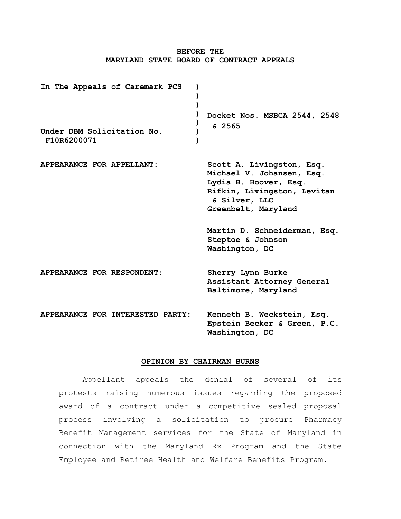# **BEFORE THE MARYLAND STATE BOARD OF CONTRACT APPEALS**

**In The Appeals of Caremark PCS Under DBM Solicitation No. F10R6200071 ) ) ) ) ) ) ) Docket Nos. MSBCA 2544, 2548 & 2565 APPEARANCE FOR APPELLANT: Scott A. Livingston, Esq. Michael V. Johansen, Esq. Lydia B. Hoover, Esq. Rifkin, Livingston, Levitan & Silver, LLC Greenbelt, Maryland Martin D. Schneiderman, Esq. Steptoe & Johnson Washington, DC APPEARANCE FOR RESPONDENT**: **Sherry Lynn Burke Assistant Attorney General Baltimore, Maryland APPEARANCE FOR INTERESTED PARTY**: **Kenneth B. Weckstein, Esq. Epstein Becker & Green, P.C. Washington, DC**

#### **OPINION BY CHAIRMAN BURNS**

Appellant appeals the denial of several of its protests raising numerous issues regarding the proposed award of a contract under a competitive sealed proposal process involving a solicitation to procure Pharmacy Benefit Management services for the State of Maryland in connection with the Maryland Rx Program and the State Employee and Retiree Health and Welfare Benefits Program.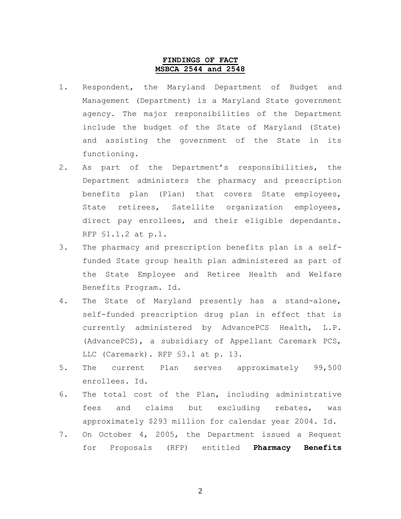## **FINDINGS OF FACT MSBCA 2544 and 2548**

- 1. Respondent, the Maryland Department of Budget and Management (Department) is a Maryland State government agency. The major responsibilities of the Department include the budget of the State of Maryland (State) and assisting the government of the State in its functioning.
- 2. As part of the Department's responsibilities, the Department administers the pharmacy and prescription benefits plan (Plan) that covers State employees, State retirees, Satellite organization employees, direct pay enrollees, and their eligible dependants. RFP §1.1.2 at p.1.
- 3. The pharmacy and prescription benefits plan is a selffunded State group health plan administered as part of the State Employee and Retiree Health and Welfare Benefits Program. Id.
- 4. The State of Maryland presently has a stand-alone, self-funded prescription drug plan in effect that is currently administered by AdvancePCS Health, L.P. (AdvancePCS), a subsidiary of Appellant Caremark PCS, LLC (Caremark). RFP §3.1 at p. 13.
- 5. The current Plan serves approximately 99,500 enrollees. Id.
- 6. The total cost of the Plan, including administrative fees and claims but excluding rebates, was approximately \$293 million for calendar year 2004. Id.
- 7. On October 4, 2005, the Department issued a Request for Proposals (RFP) entitled **Pharmacy Benefits**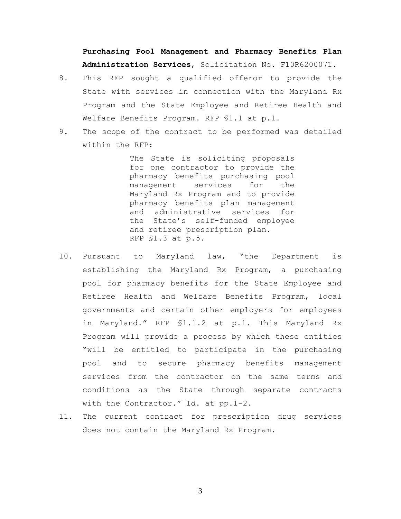**Purchasing Pool Management and Pharmacy Benefits Plan Administration Services**, Solicitation No. F10R6200071.

- 8. This RFP sought a qualified offeror to provide the State with services in connection with the Maryland Rx Program and the State Employee and Retiree Health and Welfare Benefits Program. RFP §1.1 at p.1.
- 9. The scope of the contract to be performed was detailed within the RFP:

The State is soliciting proposals for one contractor to provide the pharmacy benefits purchasing pool management services for the Maryland Rx Program and to provide pharmacy benefits plan management and administrative services for the State's self-funded employee and retiree prescription plan. RFP §1.3 at p.5.

- 10. Pursuant to Maryland law, "the Department is establishing the Maryland Rx Program, a purchasing pool for pharmacy benefits for the State Employee and Retiree Health and Welfare Benefits Program, local governments and certain other employers for employees in Maryland." RFP §1.1.2 at p.1. This Maryland Rx Program will provide a process by which these entities "will be entitled to participate in the purchasing pool and to secure pharmacy benefits management services from the contractor on the same terms and conditions as the State through separate contracts with the Contractor." Id. at pp.1-2.
- 11. The current contract for prescription drug services does not contain the Maryland Rx Program.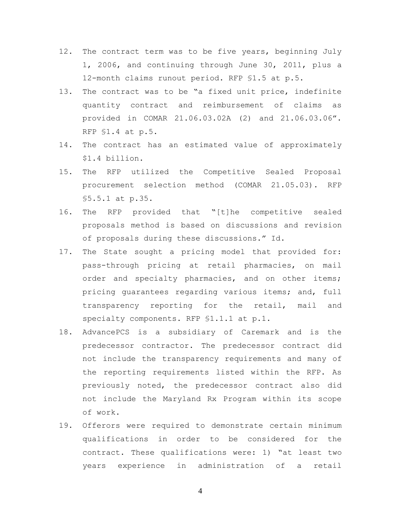- 12. The contract term was to be five years, beginning July 1, 2006, and continuing through June 30, 2011, plus a 12-month claims runout period. RFP §1.5 at p.5.
- 13. The contract was to be "a fixed unit price, indefinite quantity contract and reimbursement of claims as provided in COMAR 21.06.03.02A (2) and 21.06.03.06". RFP §1.4 at p.5.
- 14. The contract has an estimated value of approximately \$1.4 billion.
- 15. The RFP utilized the Competitive Sealed Proposal procurement selection method (COMAR 21.05.03). RFP §5.5.1 at p.35.
- 16. The RFP provided that "[t]he competitive sealed proposals method is based on discussions and revision of proposals during these discussions." Id.
- 17. The State sought a pricing model that provided for: pass-through pricing at retail pharmacies, on mail order and specialty pharmacies, and on other items; pricing guarantees regarding various items; and, full transparency reporting for the retail, mail and specialty components. RFP §1.1.1 at p.1.
- 18. AdvancePCS is a subsidiary of Caremark and is the predecessor contractor. The predecessor contract did not include the transparency requirements and many of the reporting requirements listed within the RFP. As previously noted, the predecessor contract also did not include the Maryland Rx Program within its scope of work.
- 19. Offerors were required to demonstrate certain minimum qualifications in order to be considered for the contract. These qualifications were: 1) "at least two years experience in administration of a retail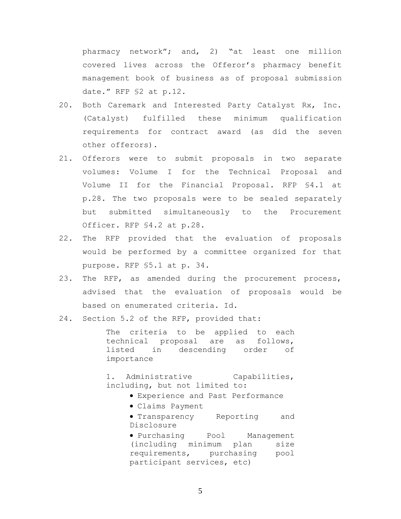pharmacy network"; and, 2) "at least one million covered lives across the Offeror's pharmacy benefit management book of business as of proposal submission date." RFP §2 at p.12.

- 20. Both Caremark and Interested Party Catalyst Rx, Inc. (Catalyst) fulfilled these minimum qualification requirements for contract award (as did the seven other offerors).
- 21. Offerors were to submit proposals in two separate volumes: Volume I for the Technical Proposal and Volume II for the Financial Proposal. RFP §4.1 at p.28. The two proposals were to be sealed separately but submitted simultaneously to the Procurement Officer. RFP §4.2 at p.28.
- 22. The RFP provided that the evaluation of proposals would be performed by a committee organized for that purpose. RFP §5.1 at p. 34.
- 23. The RFP, as amended during the procurement process, advised that the evaluation of proposals would be based on enumerated criteria. Id.
- 24. Section 5.2 of the RFP, provided that:

The criteria to be applied to each technical proposal are as follows, listed in descending order of importance

1. Administrative Capabilities, including, but not limited to:

- Experience and Past Performance
- Claims Payment

**• Transparency** Reporting and Disclosure

Purchasing Pool Management (including minimum plan size requirements, purchasing pool participant services, etc)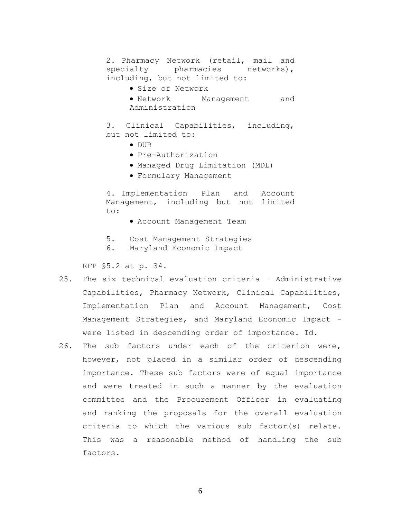2. Pharmacy Network (retail, mail and specialty pharmacies networks), including, but not limited to: Size of Network Network Management and Administration

3. Clinical Capabilities, including, but not limited to:

- DUR
- Pre-Authorization
- Managed Drug Limitation (MDL)
- Formulary Management

4. Implementation Plan and Account Management, including but not limited to:

- Account Management Team
- 5. Cost Management Strategies
- 6. Maryland Economic Impact

RFP §5.2 at p. 34.

- 25. The six technical evaluation criteria Administrative Capabilities, Pharmacy Network, Clinical Capabilities, Implementation Plan and Account Management, Cost Management Strategies, and Maryland Economic Impact were listed in descending order of importance. Id.
- 26. The sub factors under each of the criterion were, however, not placed in a similar order of descending importance. These sub factors were of equal importance and were treated in such a manner by the evaluation committee and the Procurement Officer in evaluating and ranking the proposals for the overall evaluation criteria to which the various sub factor(s) relate. This was a reasonable method of handling the sub factors.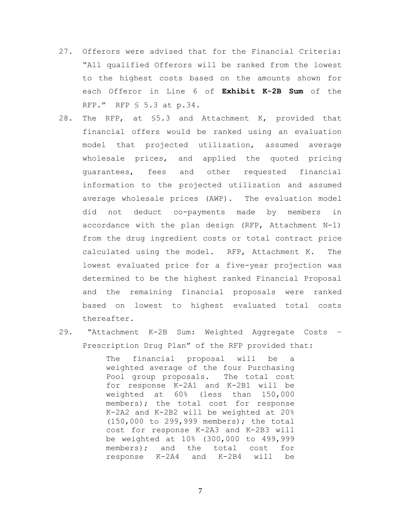- 27. Offerors were advised that for the Financial Criteria: "All qualified Offerors will be ranked from the lowest to the highest costs based on the amounts shown for each Offeror in Line 6 of **Exhibit K-2B Sum** of the RFP." RFP § 5.3 at p.34.
- 28. The RFP, at §5.3 and Attachment K, provided that financial offers would be ranked using an evaluation model that projected utilization, assumed average wholesale prices, and applied the quoted pricing guarantees, fees and other requested financial information to the projected utilization and assumed average wholesale prices (AWP). The evaluation model did not deduct co-payments made by members in accordance with the plan design (RFP, Attachment N-1) from the drug ingredient costs or total contract price calculated using the model. RFP, Attachment K. The lowest evaluated price for a five-year projection was determined to be the highest ranked Financial Proposal and the remaining financial proposals were ranked based on lowest to highest evaluated total costs thereafter.
- 29. "Attachment K-2B Sum: Weighted Aggregate Costs Prescription Drug Plan" of the RFP provided that:

The financial proposal will be a weighted average of the four Purchasing Pool group proposals. The total cost for response K-2A1 and K-2B1 will be weighted at 60% (less than 150,000 members); the total cost for response K-2A2 and K-2B2 will be weighted at 20% (150,000 to 299,999 members); the total cost for response K-2A3 and K-2B3 will be weighted at 10% (300,000 to 499,999 members); and the total cost for response K-2A4 and K-2B4 will be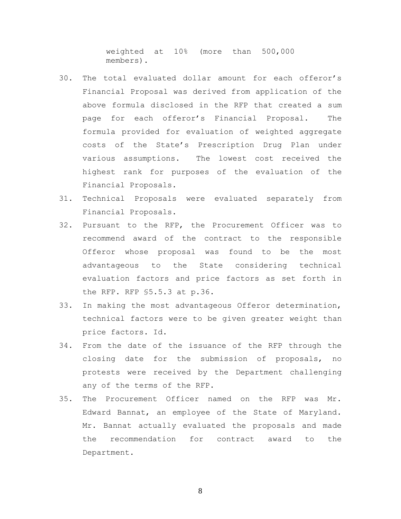weighted at 10% (more than 500,000 members).

- 30. The total evaluated dollar amount for each offeror's Financial Proposal was derived from application of the above formula disclosed in the RFP that created a sum page for each offeror's Financial Proposal. The formula provided for evaluation of weighted aggregate costs of the State's Prescription Drug Plan under various assumptions. The lowest cost received the highest rank for purposes of the evaluation of the Financial Proposals.
- 31. Technical Proposals were evaluated separately from Financial Proposals.
- 32. Pursuant to the RFP, the Procurement Officer was to recommend award of the contract to the responsible Offeror whose proposal was found to be the most advantageous to the State considering technical evaluation factors and price factors as set forth in the RFP. RFP §5.5.3 at p.36.
- 33. In making the most advantageous Offeror determination, technical factors were to be given greater weight than price factors. Id.
- 34. From the date of the issuance of the RFP through the closing date for the submission of proposals, no protests were received by the Department challenging any of the terms of the RFP.
- 35. The Procurement Officer named on the RFP was Mr. Edward Bannat, an employee of the State of Maryland. Mr. Bannat actually evaluated the proposals and made the recommendation for contract award to the Department.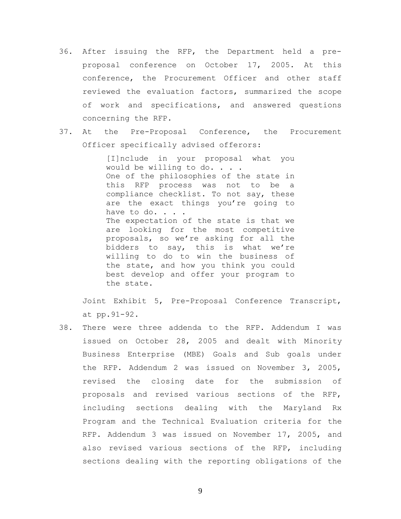- 36. After issuing the RFP, the Department held a preproposal conference on October 17, 2005. At this conference, the Procurement Officer and other staff reviewed the evaluation factors, summarized the scope of work and specifications, and answered questions concerning the RFP.
- 37. At the Pre-Proposal Conference, the Procurement Officer specifically advised offerors:

[I]nclude in your proposal what you would be willing to do. . . . One of the philosophies of the state in this RFP process was not to be a compliance checklist. To not say, these are the exact things you're going to have to do. . . . The expectation of the state is that we are looking for the most competitive proposals, so we're asking for all the bidders to say, this is what we're willing to do to win the business of the state, and how you think you could best develop and offer your program to the state.

Joint Exhibit 5, Pre-Proposal Conference Transcript, at pp.91-92.

38. There were three addenda to the RFP. Addendum I was issued on October 28, 2005 and dealt with Minority Business Enterprise (MBE) Goals and Sub goals under the RFP. Addendum 2 was issued on November 3, 2005, revised the closing date for the submission of proposals and revised various sections of the RFP, including sections dealing with the Maryland Rx Program and the Technical Evaluation criteria for the RFP. Addendum 3 was issued on November 17, 2005, and also revised various sections of the RFP, including sections dealing with the reporting obligations of the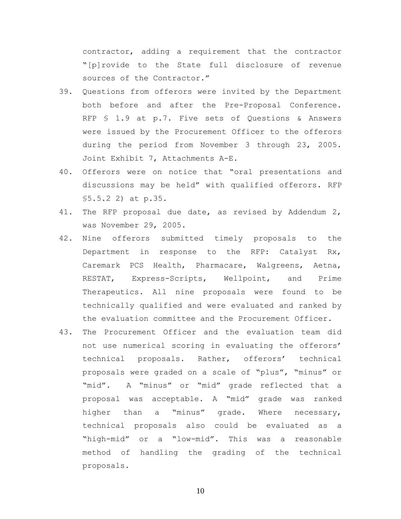contractor, adding a requirement that the contractor "[p]rovide to the State full disclosure of revenue sources of the Contractor."

- 39. Questions from offerors were invited by the Department both before and after the Pre-Proposal Conference. RFP § 1.9 at p.7. Five sets of Questions & Answers were issued by the Procurement Officer to the offerors during the period from November 3 through 23, 2005. Joint Exhibit 7, Attachments A-E.
- 40. Offerors were on notice that "oral presentations and discussions may be held" with qualified offerors. RFP §5.5.2 2) at p.35.
- 41. The RFP proposal due date, as revised by Addendum 2, was November 29, 2005.
- 42. Nine offerors submitted timely proposals to the Department in response to the RFP: Catalyst Rx, Caremark PCS Health, Pharmacare, Walgreens, Aetna, RESTAT, Express-Scripts, Wellpoint, and Prime Therapeutics. All nine proposals were found to be technically qualified and were evaluated and ranked by the evaluation committee and the Procurement Officer.
- 43. The Procurement Officer and the evaluation team did not use numerical scoring in evaluating the offerors' technical proposals. Rather, offerors' technical proposals were graded on a scale of "plus", "minus" or "mid". A "minus" or "mid" grade reflected that a proposal was acceptable. A "mid" grade was ranked higher than a "minus" grade. Where necessary, technical proposals also could be evaluated as a "high-mid" or a "low-mid". This was a reasonable method of handling the grading of the technical proposals.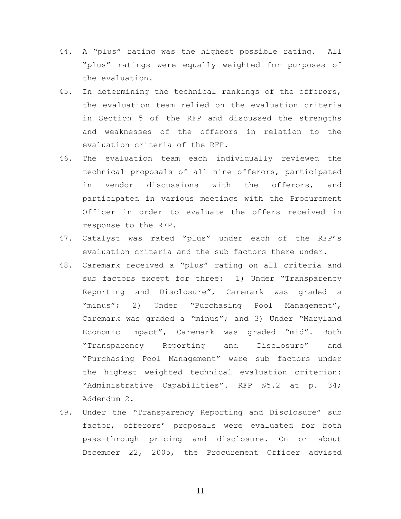- 44. A "plus" rating was the highest possible rating. All "plus" ratings were equally weighted for purposes of the evaluation.
- 45. In determining the technical rankings of the offerors, the evaluation team relied on the evaluation criteria in Section 5 of the RFP and discussed the strengths and weaknesses of the offerors in relation to the evaluation criteria of the RFP.
- 46. The evaluation team each individually reviewed the technical proposals of all nine offerors, participated in vendor discussions with the offerors, and participated in various meetings with the Procurement Officer in order to evaluate the offers received in response to the RFP.
- 47. Catalyst was rated "plus" under each of the RFP's evaluation criteria and the sub factors there under.
- 48. Caremark received a "plus" rating on all criteria and sub factors except for three: 1) Under "Transparency Reporting and Disclosure", Caremark was graded a "minus"; 2) Under "Purchasing Pool Management", Caremark was graded a "minus"; and 3) Under "Maryland Economic Impact", Caremark was graded "mid". Both "Transparency Reporting and Disclosure" and "Purchasing Pool Management" were sub factors under the highest weighted technical evaluation criterion: "Administrative Capabilities". RFP §5.2 at p. 34; Addendum 2.
- 49. Under the "Transparency Reporting and Disclosure" sub factor, offerors' proposals were evaluated for both pass-through pricing and disclosure. On or about December 22, 2005, the Procurement Officer advised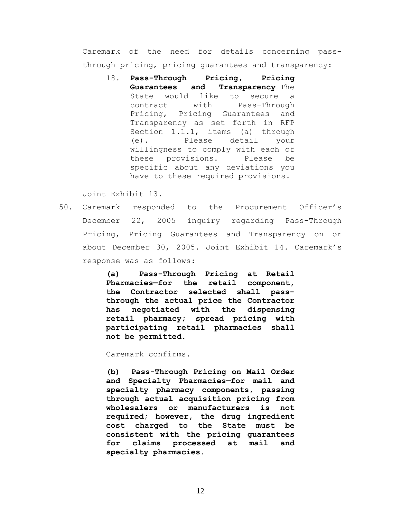Caremark of the need for details concerning passthrough pricing, pricing guarantees and transparency:

18. **Pass-Through Pricing, Pricing Guarantees and Transparency**—The State would like to secure a contract with Pass-Through Pricing, Pricing Guarantees and Transparency as set forth in RFP Section 1.1.1, items (a) through (e). Please detail your willingness to comply with each of these provisions. Please be specific about any deviations you have to these required provisions.

Joint Exhibit 13.

50. Caremark responded to the Procurement Officer's December 22, 2005 inquiry regarding Pass-Through Pricing, Pricing Guarantees and Transparency on or about December 30, 2005. Joint Exhibit 14. Caremark's response was as follows:

> **(a) Pass-Through Pricing at Retail Pharmacies—for the retail component, the Contractor selected shall passthrough the actual price the Contractor has negotiated with the dispensing retail pharmacy; spread pricing with participating retail pharmacies shall not be permitted.**

Caremark confirms.

**(b) Pass-Through Pricing on Mail Order and Specialty Pharmacies—for mail and specialty pharmacy components, passing through actual acquisition pricing from wholesalers or manufacturers is not required; however, the drug ingredient cost charged to the State must be consistent with the pricing guarantees for claims processed at mail and specialty pharmacies.**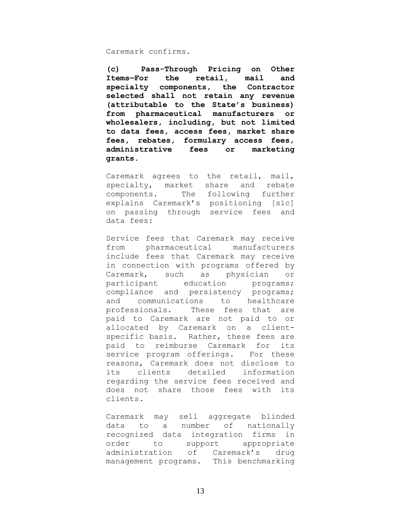### Caremark confirms.

**(c) Pass-Through Pricing on Other Items—For the retail, mail and specialty components, the Contractor selected shall not retain any revenue (attributable to the State's business) from pharmaceutical manufacturers or wholesalers, including, but not limited to data fees, access fees, market share fees, rebates, formulary access fees, administrative fees or marketing grants.**

Caremark agrees to the retail, mail, specialty, market share and rebate components. The following further explains Caremark's positioning [sic] on passing through service fees and data fees:

Service fees that Caremark may receive from pharmaceutical manufacturers include fees that Caremark may receive in connection with programs offered by Caremark, such as physician or participant education programs; compliance and persistency programs; and communications to healthcare professionals. These fees that are paid to Caremark are not paid to or allocated by Caremark on a clientspecific basis. Rather, these fees are paid to reimburse Caremark for its service program offerings. For these reasons, Caremark does not disclose to its clients detailed information regarding the service fees received and does not share those fees with its clients.

Caremark may sell aggregate blinded data to a number of nationally recognized data integration firms in order to support appropriate administration of Caremark's drug management programs. This benchmarking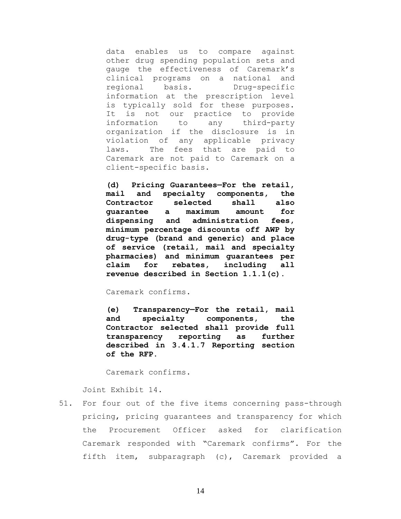data enables us to compare against other drug spending population sets and gauge the effectiveness of Caremark's clinical programs on a national and regional basis. Drug-specific information at the prescription level is typically sold for these purposes. It is not our practice to provide information to any third-party organization if the disclosure is in violation of any applicable privacy laws. The fees that are paid to Caremark are not paid to Caremark on a client-specific basis.

**(d) Pricing Guarantees—For the retail, mail and specialty components, the Contractor selected shall also guarantee a maximum amount for dispensing and administration fees, minimum percentage discounts off AWP by drug-type (brand and generic) and place of service (retail, mail and specialty pharmacies) and minimum guarantees per claim for rebates, including all revenue described in Section 1.1.1(c).**

Caremark confirms.

**(e) Transparency—For the retail, mail and specialty components, the Contractor selected shall provide full transparency reporting as further described in 3.4.1.7 Reporting section of the RFP.**

Caremark confirms.

Joint Exhibit 14.

51. For four out of the five items concerning pass-through pricing, pricing guarantees and transparency for which the Procurement Officer asked for clarification Caremark responded with "Caremark confirms". For the fifth item, subparagraph (c), Caremark provided a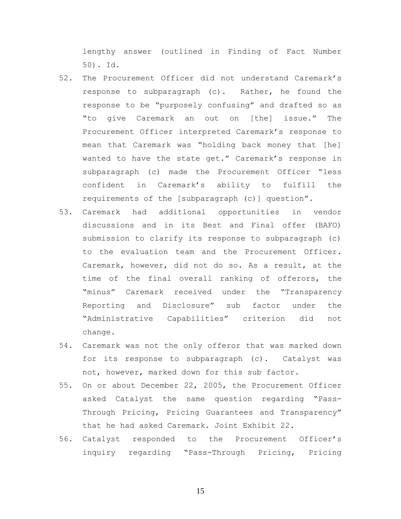lengthy answer (outlined in Finding of Fact Number 50). Id.

- 52. The Procurement Officer did not understand Caremark's response to subparagraph (c). Rather, he found the response to be "purposely confusing" and drafted so as "to give Caremark an out on [the] issue." The Procurement Officer interpreted Caremark's response to mean that Caremark was "holding back money that [he] wanted to have the state get." Caremark's response in subparagraph (c) made the Procurement Officer "less confident in Caremark's ability to fulfill the requirements of the [subparagraph (c)] question".
- 53. Caremark had additional opportunities in vendor discussions and in its Best and Final offer (BAFO) submission to clarify its response to subparagraph (c) to the evaluation team and the Procurement Officer. Caremark, however, did not do so. As a result, at the time of the final overall ranking of offerors, the "minus" Caremark received under the "Transparency Reporting and Disclosure" sub factor under the "Administrative Capabilities" criterion did not change.
- 54. Caremark was not the only offeror that was marked down for its response to subparagraph (c). Catalyst was not, however, marked down for this sub factor.
- 55. On or about December 22, 2005, the Procurement Officer asked Catalyst the same question regarding "Pass-Through Pricing, Pricing Guarantees and Transparency" that he had asked Caremark. Joint Exhibit 22.
- 56. Catalyst responded to the Procurement Officer's inquiry regarding "Pass-Through Pricing, Pricing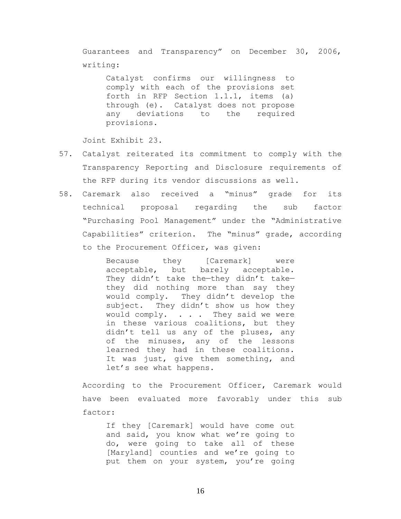Guarantees and Transparency" on December 30, 2006, writing:

Catalyst confirms our willingness to comply with each of the provisions set forth in RFP Section 1.1.1, items (a) through (e). Catalyst does not propose any deviations to the required provisions.

Joint Exhibit 23.

- 57. Catalyst reiterated its commitment to comply with the Transparency Reporting and Disclosure requirements of the RFP during its vendor discussions as well.
- 58. Caremark also received a "minus" grade for its technical proposal regarding the sub factor "Purchasing Pool Management" under the "Administrative Capabilities" criterion. The "minus" grade, according to the Procurement Officer, was given:

Because they [Caremark] were acceptable, but barely acceptable. They didn't take the—they didn't take they did nothing more than say they would comply. They didn't develop the subject. They didn't show us how they would comply. . . . They said we were in these various coalitions, but they didn't tell us any of the pluses, any of the minuses, any of the lessons learned they had in these coalitions. It was just, give them something, and let's see what happens.

According to the Procurement Officer, Caremark would have been evaluated more favorably under this sub factor:

If they [Caremark] would have come out and said, you know what we're going to do, were going to take all of these [Maryland] counties and we're going to put them on your system, you're going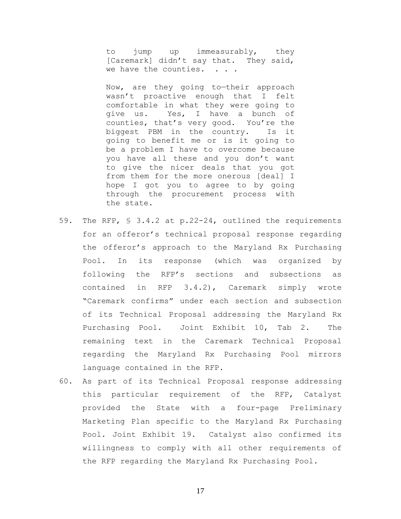to jump up immeasurably, they [Caremark] didn't say that. They said, we have the counties. . . .

Now, are they going to—their approach wasn't proactive enough that I felt comfortable in what they were going to give us. Yes, I have a bunch of counties, that's very good. You're the biggest PBM in the country. Is it going to benefit me or is it going to be a problem I have to overcome because you have all these and you don't want to give the nicer deals that you got from them for the more onerous [deal] I hope I got you to agree to by going through the procurement process with the state.

- 59. The RFP, § 3.4.2 at p.22-24, outlined the requirements for an offeror's technical proposal response regarding the offeror's approach to the Maryland Rx Purchasing Pool. In its response (which was organized by following the RFP's sections and subsections as contained in RFP 3.4.2), Caremark simply wrote "Caremark confirms" under each section and subsection of its Technical Proposal addressing the Maryland Rx Purchasing Pool. Joint Exhibit 10, Tab 2. The remaining text in the Caremark Technical Proposal regarding the Maryland Rx Purchasing Pool mirrors language contained in the RFP.
- 60. As part of its Technical Proposal response addressing this particular requirement of the RFP, Catalyst provided the State with a four-page Preliminary Marketing Plan specific to the Maryland Rx Purchasing Pool. Joint Exhibit 19. Catalyst also confirmed its willingness to comply with all other requirements of the RFP regarding the Maryland Rx Purchasing Pool.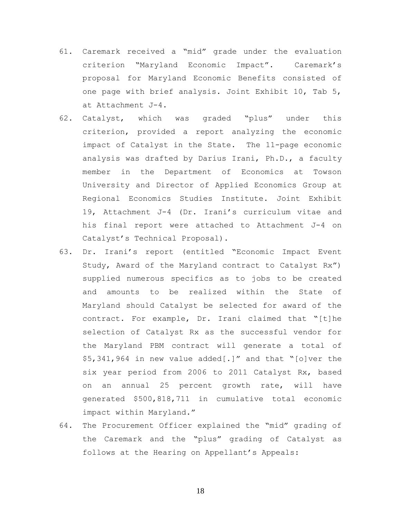- 61. Caremark received a "mid" grade under the evaluation criterion "Maryland Economic Impact". Caremark's proposal for Maryland Economic Benefits consisted of one page with brief analysis. Joint Exhibit 10, Tab 5, at Attachment J-4.
- 62. Catalyst, which was graded "plus" under this criterion, provided a report analyzing the economic impact of Catalyst in the State. The 11-page economic analysis was drafted by Darius Irani, Ph.D., a faculty member in the Department of Economics at Towson University and Director of Applied Economics Group at Regional Economics Studies Institute. Joint Exhibit 19, Attachment J-4 (Dr. Irani's curriculum vitae and his final report were attached to Attachment J-4 on Catalyst's Technical Proposal).
- 63. Dr. Irani's report (entitled "Economic Impact Event Study, Award of the Maryland contract to Catalyst Rx") supplied numerous specifics as to jobs to be created and amounts to be realized within the State of Maryland should Catalyst be selected for award of the contract. For example, Dr. Irani claimed that "[t]he selection of Catalyst Rx as the successful vendor for the Maryland PBM contract will generate a total of \$5,341,964 in new value added[.]" and that "[o]ver the six year period from 2006 to 2011 Catalyst Rx, based on an annual 25 percent growth rate, will have generated \$500,818,711 in cumulative total economic impact within Maryland."
- 64. The Procurement Officer explained the "mid" grading of the Caremark and the "plus" grading of Catalyst as follows at the Hearing on Appellant's Appeals: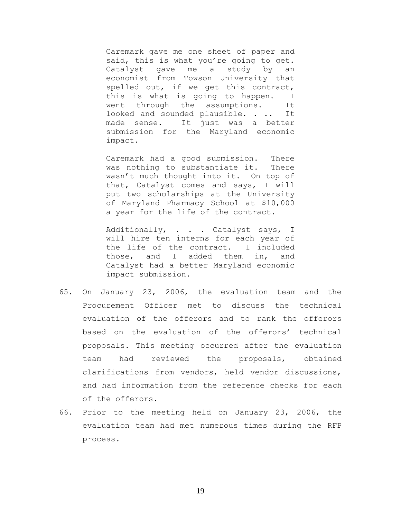Caremark gave me one sheet of paper and said, this is what you're going to get. Catalyst gave me a study by an economist from Towson University that spelled out, if we get this contract, this is what is going to happen. I went through the assumptions. It looked and sounded plausible. . .. It made sense. It just was a better submission for the Maryland economic impact.

Caremark had a good submission. There was nothing to substantiate it. There wasn't much thought into it. On top of that, Catalyst comes and says, I will put two scholarships at the University of Maryland Pharmacy School at \$10,000 a year for the life of the contract.

Additionally, . . . Catalyst says, I will hire ten interns for each year of the life of the contract. I included those, and I added them in, and Catalyst had a better Maryland economic impact submission.

- 65. On January 23, 2006, the evaluation team and the Procurement Officer met to discuss the technical evaluation of the offerors and to rank the offerors based on the evaluation of the offerors' technical proposals. This meeting occurred after the evaluation team had reviewed the proposals, obtained clarifications from vendors, held vendor discussions, and had information from the reference checks for each of the offerors.
- 66. Prior to the meeting held on January 23, 2006, the evaluation team had met numerous times during the RFP process.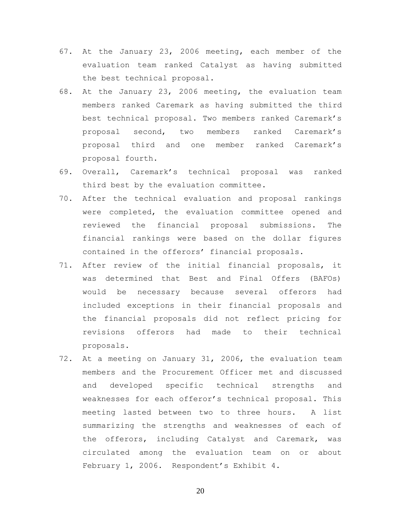- 67. At the January 23, 2006 meeting, each member of the evaluation team ranked Catalyst as having submitted the best technical proposal.
- 68. At the January 23, 2006 meeting, the evaluation team members ranked Caremark as having submitted the third best technical proposal. Two members ranked Caremark's proposal second, two members ranked Caremark's proposal third and one member ranked Caremark's proposal fourth.
- 69. Overall, Caremark's technical proposal was ranked third best by the evaluation committee.
- 70. After the technical evaluation and proposal rankings were completed, the evaluation committee opened and reviewed the financial proposal submissions. The financial rankings were based on the dollar figures contained in the offerors' financial proposals.
- 71. After review of the initial financial proposals, it was determined that Best and Final Offers (BAFOs) would be necessary because several offerors had included exceptions in their financial proposals and the financial proposals did not reflect pricing for revisions offerors had made to their technical proposals.
- 72. At a meeting on January 31, 2006, the evaluation team members and the Procurement Officer met and discussed and developed specific technical strengths and weaknesses for each offeror's technical proposal. This meeting lasted between two to three hours. A list summarizing the strengths and weaknesses of each of the offerors, including Catalyst and Caremark, was circulated among the evaluation team on or about February 1, 2006. Respondent's Exhibit 4.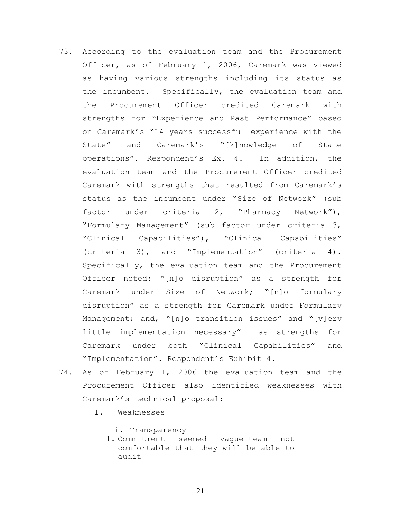- 73. According to the evaluation team and the Procurement Officer, as of February 1, 2006, Caremark was viewed as having various strengths including its status as the incumbent. Specifically, the evaluation team and the Procurement Officer credited Caremark with strengths for "Experience and Past Performance" based on Caremark's "14 years successful experience with the State" and Caremark's "[k]nowledge of State operations". Respondent's Ex. 4. In addition, the evaluation team and the Procurement Officer credited Caremark with strengths that resulted from Caremark's status as the incumbent under "Size of Network" (sub factor under criteria 2, "Pharmacy Network"), "Formulary Management" (sub factor under criteria 3, "Clinical Capabilities"), "Clinical Capabilities" (criteria 3), and "Implementation" (criteria 4). Specifically, the evaluation team and the Procurement Officer noted: "[n]o disruption" as a strength for Caremark under Size of Network; "[n]o formulary disruption" as a strength for Caremark under Formulary Management; and, "[n]o transition issues" and "[v]ery little implementation necessary" as strengths for Caremark under both "Clinical Capabilities" and "Implementation". Respondent's Exhibit 4.
- 74. As of February 1, 2006 the evaluation team and the Procurement Officer also identified weaknesses with Caremark's technical proposal:
	- 1. Weaknesses
		- i. Transparency
		- 1. Commitment seemed vague—team not comfortable that they will be able to audit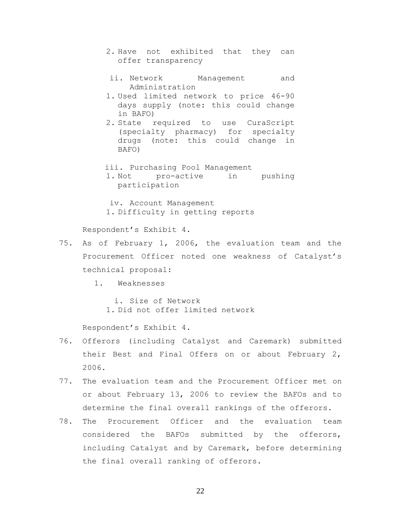- 2. Have not exhibited that they can offer transparency
- ii. Network Management and Administration
- 1. Used limited network to price 46-90 days supply (note: this could change in BAFO)
- 2. State required to use CuraScript (specialty pharmacy) for specialty drugs (note: this could change in BAFO)
- iii. Purchasing Pool Management
- 1. Not pro-active in pushing participation
- iv. Account Management 1. Difficulty in getting reports

Respondent's Exhibit 4.

- 75. As of February 1, 2006, the evaluation team and the Procurement Officer noted one weakness of Catalyst's technical proposal:
	- 1. Weaknesses

i. Size of Network 1. Did not offer limited network

Respondent's Exhibit 4.

- 76. Offerors (including Catalyst and Caremark) submitted their Best and Final Offers on or about February 2, 2006.
- 77. The evaluation team and the Procurement Officer met on or about February 13, 2006 to review the BAFOs and to determine the final overall rankings of the offerors.
- 78. The Procurement Officer and the evaluation team considered the BAFOs submitted by the offerors, including Catalyst and by Caremark, before determining the final overall ranking of offerors.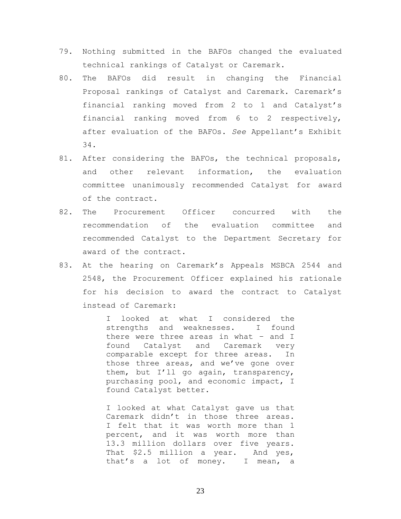- 79. Nothing submitted in the BAFOs changed the evaluated technical rankings of Catalyst or Caremark.
- 80. The BAFOs did result in changing the Financial Proposal rankings of Catalyst and Caremark. Caremark's financial ranking moved from 2 to 1 and Catalyst's financial ranking moved from 6 to 2 respectively, after evaluation of the BAFOs. *See* Appellant's Exhibit 34.
- 81. After considering the BAFOs, the technical proposals, and other relevant information, the evaluation committee unanimously recommended Catalyst for award of the contract.
- 82. The Procurement Officer concurred with the recommendation of the evaluation committee and recommended Catalyst to the Department Secretary for award of the contract.
- 83. At the hearing on Caremark's Appeals MSBCA 2544 and 2548, the Procurement Officer explained his rationale for his decision to award the contract to Catalyst instead of Caremark:

I looked at what I considered the strengths and weaknesses. I found there were three areas in what – and I found Catalyst and Caremark very comparable except for three areas. In those three areas, and we've gone over them, but I'll go again, transparency, purchasing pool, and economic impact, I found Catalyst better.

I looked at what Catalyst gave us that Caremark didn't in those three areas. I felt that it was worth more than 1 percent, and it was worth more than 13.3 million dollars over five years. That \$2.5 million a year. And yes, that's a lot of money. I mean, a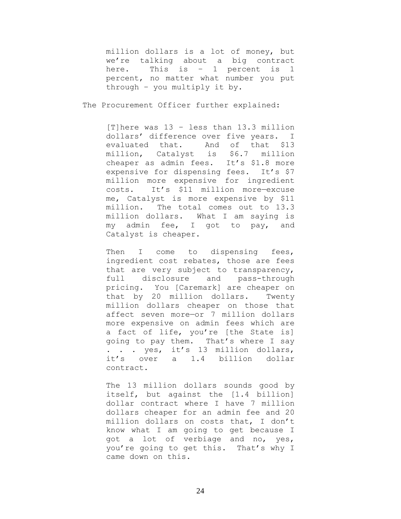million dollars is a lot of money, but we're talking about a big contract here. This is – 1 percent is 1 percent, no matter what number you put through – you multiply it by.

The Procurement Officer further explained:

[T]here was 13 – less than 13.3 million dollars' difference over five years. I evaluated that. And of that \$13 million, Catalyst is \$6.7 million cheaper as admin fees. It's \$1.8 more expensive for dispensing fees. It's \$7 million more expensive for ingredient costs. It's \$11 million more—excuse me, Catalyst is more expensive by \$11 million. The total comes out to 13.3 million dollars. What I am saying is my admin fee, I got to pay, and Catalyst is cheaper.

Then I come to dispensing fees, ingredient cost rebates, those are fees that are very subject to transparency, full disclosure and pass-through pricing. You [Caremark] are cheaper on that by 20 million dollars. Twenty million dollars cheaper on those that affect seven more—or 7 million dollars more expensive on admin fees which are a fact of life, you're [the State is] going to pay them. That's where I say . . . yes, it's 13 million dollars, it's over a 1.4 billion dollar contract.

The 13 million dollars sounds good by itself, but against the [1.4 billion] dollar contract where I have 7 million dollars cheaper for an admin fee and 20 million dollars on costs that, I don't know what I am going to get because I got a lot of verbiage and no, yes, you're going to get this. That's why I came down on this.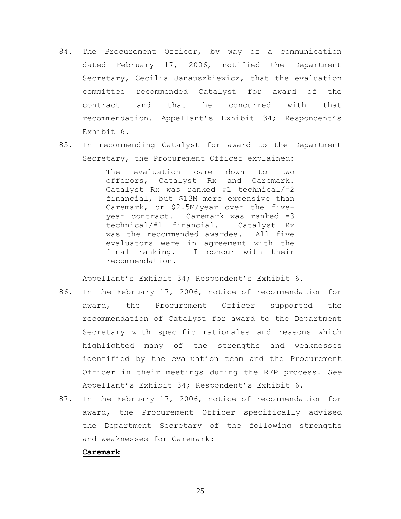- 84. The Procurement Officer, by way of a communication dated February 17, 2006, notified the Department Secretary, Cecilia Janauszkiewicz, that the evaluation committee recommended Catalyst for award of the contract and that he concurred with that recommendation. Appellant's Exhibit 34; Respondent's Exhibit 6.
- 85. In recommending Catalyst for award to the Department Secretary, the Procurement Officer explained:

The evaluation came down to two offerors, Catalyst Rx and Caremark. Catalyst Rx was ranked #1 technical/#2 financial, but \$13M more expensive than Caremark, or \$2.5M/year over the fiveyear contract. Caremark was ranked #3 technical/#1 financial. Catalyst Rx was the recommended awardee. All five evaluators were in agreement with the final ranking. I concur with their recommendation.

Appellant's Exhibit 34; Respondent's Exhibit 6.

- 86. In the February 17, 2006, notice of recommendation for award, the Procurement Officer supported the recommendation of Catalyst for award to the Department Secretary with specific rationales and reasons which highlighted many of the strengths and weaknesses identified by the evaluation team and the Procurement Officer in their meetings during the RFP process. *See* Appellant's Exhibit 34; Respondent's Exhibit 6.
- 87. In the February 17, 2006, notice of recommendation for award, the Procurement Officer specifically advised the Department Secretary of the following strengths and weaknesses for Caremark:

#### **Caremark**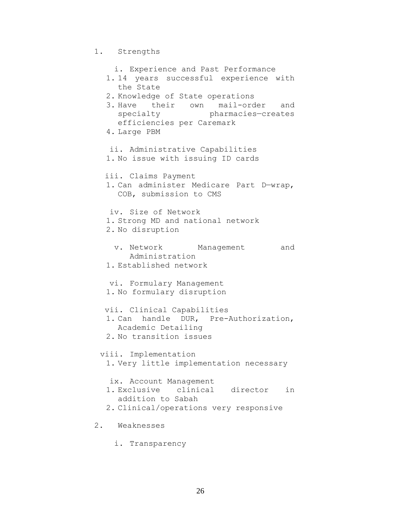```
1. Strengths
```
i. Experience and Past Performance 1. 14 years successful experience with the State 2. Knowledge of State operations 3. Have their own mail-order and specialty pharmacies—creates efficiencies per Caremark 4. Large PBM ii. Administrative Capabilities 1. No issue with issuing ID cards iii. Claims Payment 1. Can administer Medicare Part D—wrap, COB, submission to CMS iv. Size of Network 1. Strong MD and national network 2. No disruption v. Network Management and Administration 1. Established network vi. Formulary Management 1. No formulary disruption vii. Clinical Capabilities 1. Can handle DUR, Pre-Authorization, Academic Detailing 2. No transition issues viii. Implementation 1. Very little implementation necessary ix. Account Management 1. Exclusive clinical director in addition to Sabah 2. Clinical/operations very responsive 2. Weaknesses i. Transparency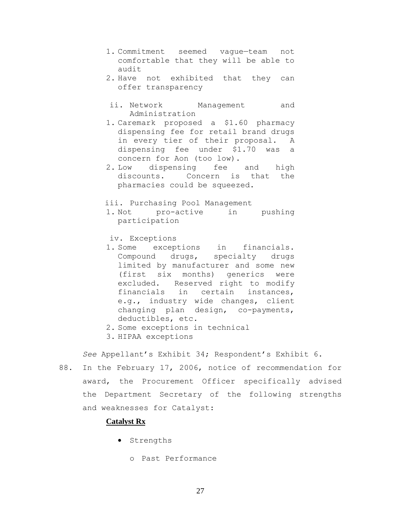- 1. Commitment seemed vague—team not comfortable that they will be able to audit
- 2. Have not exhibited that they can offer transparency
- ii. Network Management and Administration
- 1. Caremark proposed a \$1.60 pharmacy dispensing fee for retail brand drugs in every tier of their proposal. A dispensing fee under \$1.70 was a concern for Aon (too low).
- 2. Low dispensing fee and high discounts. Concern is that the pharmacies could be squeezed.

iii. Purchasing Pool Management

1. Not pro-active in pushing participation

iv. Exceptions

- 1. Some exceptions in financials. Compound drugs, specialty drugs limited by manufacturer and some new (first six months) generics were excluded. Reserved right to modify financials in certain instances, e.g., industry wide changes, client changing plan design, co-payments, deductibles, etc.
- 2. Some exceptions in technical
- 3. HIPAA exceptions

*See* Appellant's Exhibit 34; Respondent's Exhibit 6.

88. In the February 17, 2006, notice of recommendation for award, the Procurement Officer specifically advised the Department Secretary of the following strengths and weaknesses for Catalyst:

## **Catalyst Rx**

- **•** Strengths
	- o Past Performance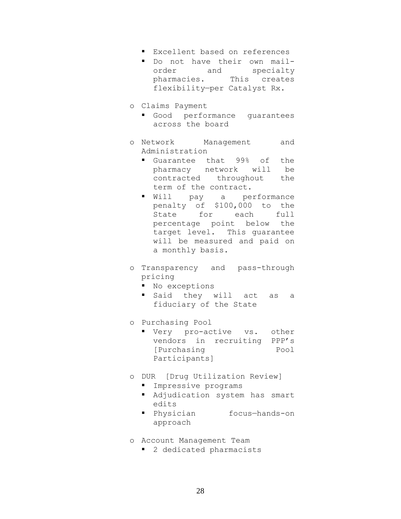- Excellent based on references
- Do not have their own mailorder and specialty pharmacies. This creates flexibility—per Catalyst Rx.
- o Claims Payment
	- Good performance guarantees across the board
- o Network Management and Administration
	- Guarantee that 99% of the pharmacy network will be contracted throughout the term of the contract.
	- Will pay a performance penalty of \$100,000 to the State for each full percentage point below the target level. This guarantee will be measured and paid on a monthly basis.
- o Transparency and pass-through pricing
	- $\blacksquare$  No exceptions
	- said they will act as a fiduciary of the State
- o Purchasing Pool
	- **Very** pro-active vs. other vendors in recruiting PPP's [Purchasing Pool Participants]
- o DUR [Drug Utilization Review]
	- **Impressive programs**
	- Adjudication system has smart edits
	- Physician focus-hands-on approach
- o Account Management Team
	- 2 dedicated pharmacists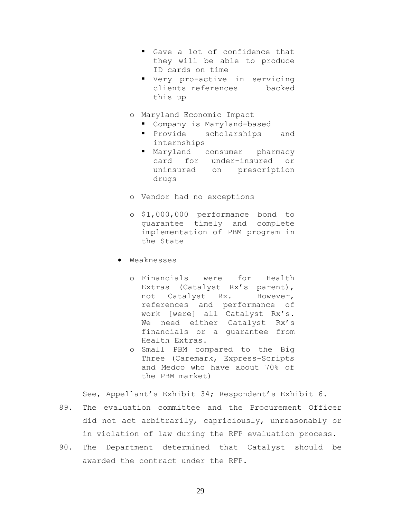- Gave a lot of confidence that they will be able to produce ID cards on time
- Very pro-active in servicing clients—references backed this up
- o Maryland Economic Impact
	- Company is Maryland-based
	- **Provide** scholarships and internships
	- Maryland consumer pharmacy card for under-insured or uninsured on prescription drugs
- o Vendor had no exceptions
- o \$1,000,000 performance bond to guarantee timely and complete implementation of PBM program in the State
- Weaknesses
	- o Financials were for Health Extras (Catalyst Rx's parent), not Catalyst Rx. However, references and performance of work [were] all Catalyst Rx's. We need either Catalyst Rx's financials or a guarantee from Health Extras.
	- o Small PBM compared to the Big Three (Caremark, Express-Scripts and Medco who have about 70% of the PBM market)

See, Appellant's Exhibit 34; Respondent's Exhibit 6.

- 89. The evaluation committee and the Procurement Officer did not act arbitrarily, capriciously, unreasonably or in violation of law during the RFP evaluation process.
- 90. The Department determined that Catalyst should be awarded the contract under the RFP.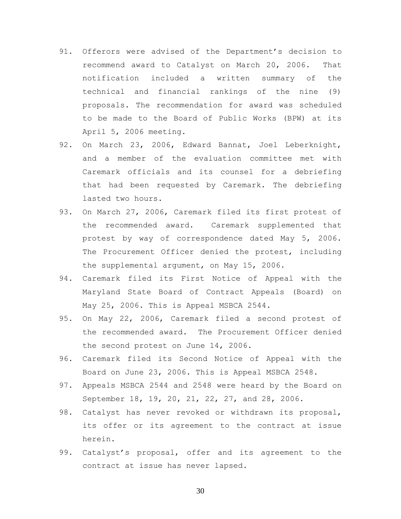- 91. Offerors were advised of the Department's decision to recommend award to Catalyst on March 20, 2006. That notification included a written summary of the technical and financial rankings of the nine (9) proposals. The recommendation for award was scheduled to be made to the Board of Public Works (BPW) at its April 5, 2006 meeting.
- 92. On March 23, 2006, Edward Bannat, Joel Leberknight, and a member of the evaluation committee met with Caremark officials and its counsel for a debriefing that had been requested by Caremark. The debriefing lasted two hours.
- 93. On March 27, 2006, Caremark filed its first protest of the recommended award. Caremark supplemented that protest by way of correspondence dated May 5, 2006. The Procurement Officer denied the protest, including the supplemental argument, on May 15, 2006.
- 94. Caremark filed its First Notice of Appeal with the Maryland State Board of Contract Appeals (Board) on May 25, 2006. This is Appeal MSBCA 2544.
- 95. On May 22, 2006, Caremark filed a second protest of the recommended award. The Procurement Officer denied the second protest on June 14, 2006.
- 96. Caremark filed its Second Notice of Appeal with the Board on June 23, 2006. This is Appeal MSBCA 2548.
- 97. Appeals MSBCA 2544 and 2548 were heard by the Board on September 18, 19, 20, 21, 22, 27, and 28, 2006.
- 98. Catalyst has never revoked or withdrawn its proposal, its offer or its agreement to the contract at issue herein.
- 99. Catalyst's proposal, offer and its agreement to the contract at issue has never lapsed.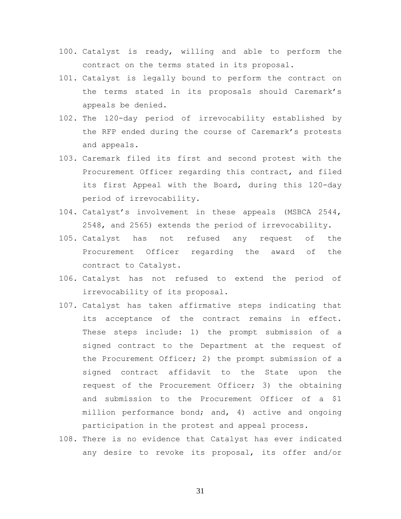- 100. Catalyst is ready, willing and able to perform the contract on the terms stated in its proposal.
- 101. Catalyst is legally bound to perform the contract on the terms stated in its proposals should Caremark's appeals be denied.
- 102. The 120-day period of irrevocability established by the RFP ended during the course of Caremark's protests and appeals.
- 103. Caremark filed its first and second protest with the Procurement Officer regarding this contract, and filed its first Appeal with the Board, during this 120-day period of irrevocability.
- 104. Catalyst's involvement in these appeals (MSBCA 2544, 2548, and 2565) extends the period of irrevocability.
- 105. Catalyst has not refused any request of the Procurement Officer regarding the award of the contract to Catalyst.
- 106. Catalyst has not refused to extend the period of irrevocability of its proposal.
- 107. Catalyst has taken affirmative steps indicating that its acceptance of the contract remains in effect. These steps include: 1) the prompt submission of a signed contract to the Department at the request of the Procurement Officer; 2) the prompt submission of a signed contract affidavit to the State upon the request of the Procurement Officer; 3) the obtaining and submission to the Procurement Officer of a \$1 million performance bond; and, 4) active and ongoing participation in the protest and appeal process.
- 108. There is no evidence that Catalyst has ever indicated any desire to revoke its proposal, its offer and/or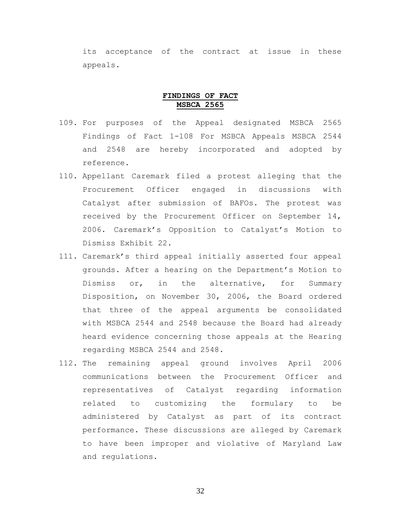its acceptance of the contract at issue in these appeals.

### **FINDINGS OF FACT MSBCA 2565**

- 109. For purposes of the Appeal designated MSBCA 2565 Findings of Fact 1-108 For MSBCA Appeals MSBCA 2544 and 2548 are hereby incorporated and adopted by reference.
- 110. Appellant Caremark filed a protest alleging that the Procurement Officer engaged in discussions with Catalyst after submission of BAFOs. The protest was received by the Procurement Officer on September 14, 2006. Caremark's Opposition to Catalyst's Motion to Dismiss Exhibit 22.
- 111. Caremark's third appeal initially asserted four appeal grounds. After a hearing on the Department's Motion to Dismiss or, in the alternative, for Summary Disposition, on November 30, 2006, the Board ordered that three of the appeal arguments be consolidated with MSBCA 2544 and 2548 because the Board had already heard evidence concerning those appeals at the Hearing regarding MSBCA 2544 and 2548.
- 112. The remaining appeal ground involves April 2006 communications between the Procurement Officer and representatives of Catalyst regarding information related to customizing the formulary to be administered by Catalyst as part of its contract performance. These discussions are alleged by Caremark to have been improper and violative of Maryland Law and regulations.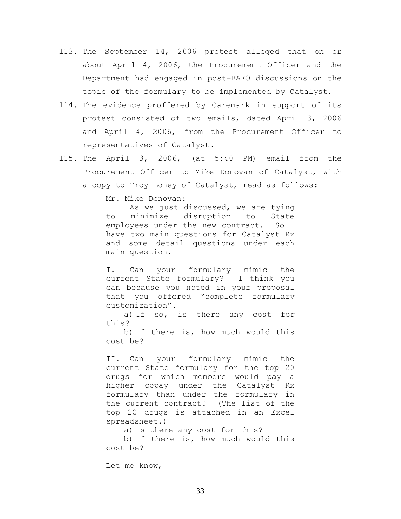- 113. The September 14, 2006 protest alleged that on or about April 4, 2006, the Procurement Officer and the Department had engaged in post-BAFO discussions on the topic of the formulary to be implemented by Catalyst.
- 114. The evidence proffered by Caremark in support of its protest consisted of two emails, dated April 3, 2006 and April 4, 2006, from the Procurement Officer to representatives of Catalyst.
- 115. The April 3, 2006, (at 5:40 PM) email from the Procurement Officer to Mike Donovan of Catalyst, with a copy to Troy Loney of Catalyst, read as follows:

Mr. Mike Donovan:

As we just discussed, we are tying to minimize disruption to State employees under the new contract. So I have two main questions for Catalyst Rx and some detail questions under each main question.

I. Can your formulary mimic the current State formulary? I think you can because you noted in your proposal that you offered "complete formulary customization".

a) If so, is there any cost for this?

b) If there is, how much would this cost be?

II. Can your formulary mimic the current State formulary for the top 20 drugs for which members would pay a higher copay under the Catalyst Rx formulary than under the formulary in the current contract? (The list of the top 20 drugs is attached in an Excel spreadsheet.)

a) Is there any cost for this?

b) If there is, how much would this cost be?

Let me know,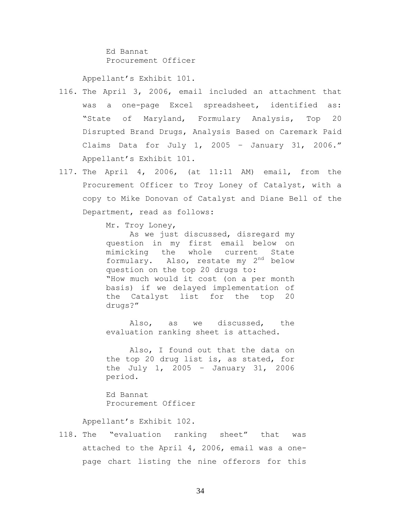Ed Bannat Procurement Officer

Appellant's Exhibit 101.

- 116. The April 3, 2006, email included an attachment that was a one-page Excel spreadsheet, identified as: "State of Maryland, Formulary Analysis, Top 20 Disrupted Brand Drugs, Analysis Based on Caremark Paid Claims Data for July 1, 2005 - January 31, 2006." Appellant's Exhibit 101.
- 117. The April 4, 2006, (at 11:11 AM) email, from the Procurement Officer to Troy Loney of Catalyst, with a copy to Mike Donovan of Catalyst and Diane Bell of the Department, read as follows:

Mr. Troy Loney,

As we just discussed, disregard my question in my first email below on mimicking the whole current State formulary. Also, restate my  $2^{nd}$  below question on the top 20 drugs to: "How much would it cost (on a per month basis) if we delayed implementation of the Catalyst list for the top 20 drugs?"

Also, as we discussed, the evaluation ranking sheet is attached.

Also, I found out that the data on the top 20 drug list is, as stated, for the July 1, 2005 – January 31, 2006 period.

Ed Bannat Procurement Officer

Appellant's Exhibit 102.

118. The "evaluation ranking sheet" that was attached to the April 4, 2006, email was a onepage chart listing the nine offerors for this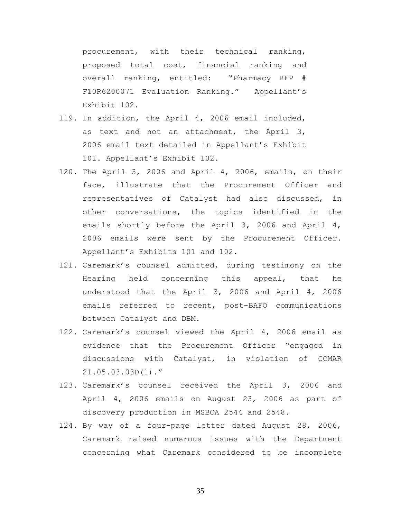procurement, with their technical ranking, proposed total cost, financial ranking and overall ranking, entitled: "Pharmacy RFP # F10R6200071 Evaluation Ranking." Appellant's Exhibit 102.

- 119. In addition, the April 4, 2006 email included, as text and not an attachment, the April 3, 2006 email text detailed in Appellant's Exhibit 101. Appellant's Exhibit 102.
- 120. The April 3, 2006 and April 4, 2006, emails, on their face, illustrate that the Procurement Officer and representatives of Catalyst had also discussed, in other conversations, the topics identified in the emails shortly before the April 3, 2006 and April 4, 2006 emails were sent by the Procurement Officer. Appellant's Exhibits 101 and 102.
- 121. Caremark's counsel admitted, during testimony on the Hearing held concerning this appeal, that he understood that the April 3, 2006 and April 4, 2006 emails referred to recent, post-BAFO communications between Catalyst and DBM.
- 122. Caremark's counsel viewed the April 4, 2006 email as evidence that the Procurement Officer "engaged in discussions with Catalyst, in violation of COMAR 21.05.03.03D(1)."
- 123. Caremark's counsel received the April 3, 2006 and April 4, 2006 emails on August 23, 2006 as part of discovery production in MSBCA 2544 and 2548.
- 124. By way of a four-page letter dated August 28, 2006, Caremark raised numerous issues with the Department concerning what Caremark considered to be incomplete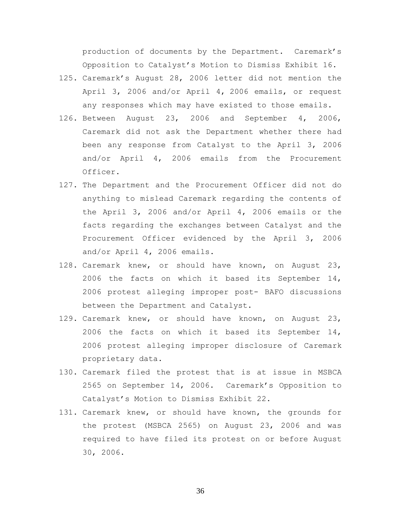production of documents by the Department. Caremark's Opposition to Catalyst's Motion to Dismiss Exhibit 16.

- 125. Caremark's August 28, 2006 letter did not mention the April 3, 2006 and/or April 4, 2006 emails, or request any responses which may have existed to those emails.
- 126. Between August 23, 2006 and September 4, 2006, Caremark did not ask the Department whether there had been any response from Catalyst to the April 3, 2006 and/or April 4, 2006 emails from the Procurement Officer.
- 127. The Department and the Procurement Officer did not do anything to mislead Caremark regarding the contents of the April 3, 2006 and/or April 4, 2006 emails or the facts regarding the exchanges between Catalyst and the Procurement Officer evidenced by the April 3, 2006 and/or April 4, 2006 emails.
- 128. Caremark knew, or should have known, on August 23, 2006 the facts on which it based its September 14, 2006 protest alleging improper post- BAFO discussions between the Department and Catalyst.
- 129. Caremark knew, or should have known, on August 23, 2006 the facts on which it based its September 14, 2006 protest alleging improper disclosure of Caremark proprietary data.
- 130. Caremark filed the protest that is at issue in MSBCA 2565 on September 14, 2006. Caremark's Opposition to Catalyst's Motion to Dismiss Exhibit 22.
- 131. Caremark knew, or should have known, the grounds for the protest (MSBCA 2565) on August 23, 2006 and was required to have filed its protest on or before August 30, 2006.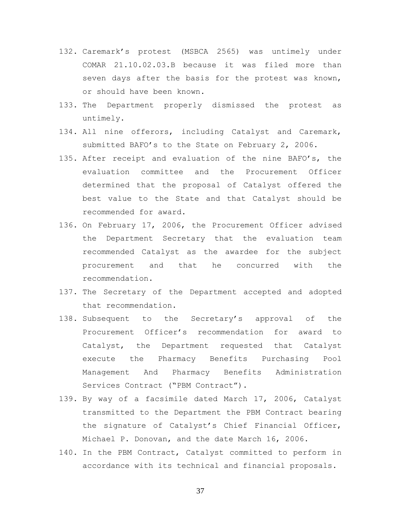- 132. Caremark's protest (MSBCA 2565) was untimely under COMAR 21.10.02.03.B because it was filed more than seven days after the basis for the protest was known, or should have been known.
- 133. The Department properly dismissed the protest as untimely.
- 134. All nine offerors, including Catalyst and Caremark, submitted BAFO's to the State on February 2, 2006.
- 135. After receipt and evaluation of the nine BAFO's, the evaluation committee and the Procurement Officer determined that the proposal of Catalyst offered the best value to the State and that Catalyst should be recommended for award.
- 136. On February 17, 2006, the Procurement Officer advised the Department Secretary that the evaluation team recommended Catalyst as the awardee for the subject procurement and that he concurred with the recommendation.
- 137. The Secretary of the Department accepted and adopted that recommendation.
- 138. Subsequent to the Secretary's approval of the Procurement Officer's recommendation for award to Catalyst, the Department requested that Catalyst execute the Pharmacy Benefits Purchasing Pool Management And Pharmacy Benefits Administration Services Contract ("PBM Contract").
- 139. By way of a facsimile dated March 17, 2006, Catalyst transmitted to the Department the PBM Contract bearing the signature of Catalyst's Chief Financial Officer, Michael P. Donovan, and the date March 16, 2006.
- 140. In the PBM Contract, Catalyst committed to perform in accordance with its technical and financial proposals.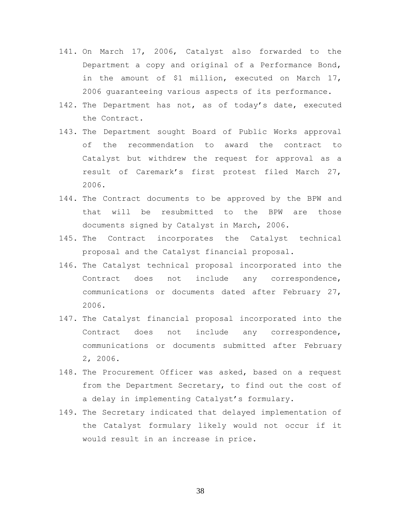- 141. On March 17, 2006, Catalyst also forwarded to the Department a copy and original of a Performance Bond, in the amount of \$1 million, executed on March 17, 2006 guaranteeing various aspects of its performance.
- 142. The Department has not, as of today's date, executed the Contract.
- 143. The Department sought Board of Public Works approval of the recommendation to award the contract to Catalyst but withdrew the request for approval as a result of Caremark's first protest filed March 27, 2006.
- 144. The Contract documents to be approved by the BPW and that will be resubmitted to the BPW are those documents signed by Catalyst in March, 2006.
- 145. The Contract incorporates the Catalyst technical proposal and the Catalyst financial proposal.
- 146. The Catalyst technical proposal incorporated into the Contract does not include any correspondence, communications or documents dated after February 27, 2006.
- 147. The Catalyst financial proposal incorporated into the Contract does not include any correspondence, communications or documents submitted after February 2, 2006.
- 148. The Procurement Officer was asked, based on a request from the Department Secretary, to find out the cost of a delay in implementing Catalyst's formulary.
- 149. The Secretary indicated that delayed implementation of the Catalyst formulary likely would not occur if it would result in an increase in price.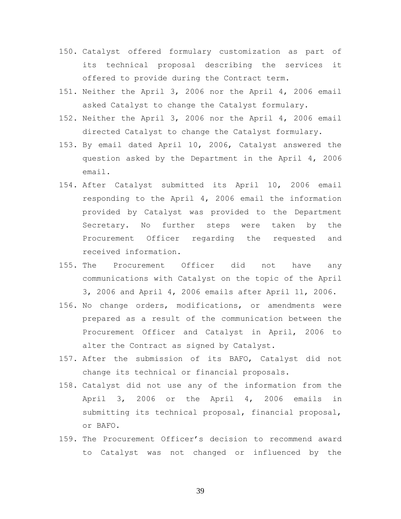- 150. Catalyst offered formulary customization as part of its technical proposal describing the services it offered to provide during the Contract term.
- 151. Neither the April 3, 2006 nor the April 4, 2006 email asked Catalyst to change the Catalyst formulary.
- 152. Neither the April 3, 2006 nor the April 4, 2006 email directed Catalyst to change the Catalyst formulary.
- 153. By email dated April 10, 2006, Catalyst answered the question asked by the Department in the April 4, 2006 email.
- 154. After Catalyst submitted its April 10, 2006 email responding to the April 4, 2006 email the information provided by Catalyst was provided to the Department Secretary. No further steps were taken by the Procurement Officer regarding the requested and received information.
- 155. The Procurement Officer did not have any communications with Catalyst on the topic of the April 3, 2006 and April 4, 2006 emails after April 11, 2006.
- 156. No change orders, modifications, or amendments were prepared as a result of the communication between the Procurement Officer and Catalyst in April, 2006 to alter the Contract as signed by Catalyst.
- 157. After the submission of its BAFO, Catalyst did not change its technical or financial proposals.
- 158. Catalyst did not use any of the information from the April 3, 2006 or the April 4, 2006 emails in submitting its technical proposal, financial proposal, or BAFO.
- 159. The Procurement Officer's decision to recommend award to Catalyst was not changed or influenced by the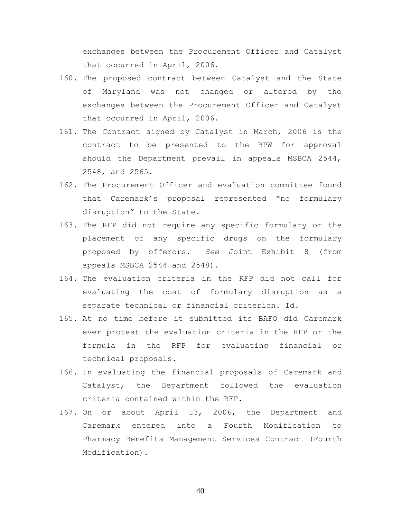exchanges between the Procurement Officer and Catalyst that occurred in April, 2006.

- 160. The proposed contract between Catalyst and the State of Maryland was not changed or altered by the exchanges between the Procurement Officer and Catalyst that occurred in April, 2006.
- 161. The Contract signed by Catalyst in March, 2006 is the contract to be presented to the BPW for approval should the Department prevail in appeals MSBCA 2544, 2548, and 2565.
- 162. The Procurement Officer and evaluation committee found that Caremark's proposal represented "no formulary disruption" to the State.
- 163. The RFP did not require any specific formulary or the placement of any specific drugs on the formulary proposed by offerors. *See* Joint Exhibit 8 (from appeals MSBCA 2544 and 2548).
- 164. The evaluation criteria in the RFP did not call for evaluating the cost of formulary disruption as a separate technical or financial criterion. Id.
- 165. At no time before it submitted its BAFO did Caremark ever protest the evaluation criteria in the RFP or the formula in the RFP for evaluating financial or technical proposals.
- 166. In evaluating the financial proposals of Caremark and Catalyst, the Department followed the evaluation criteria contained within the RFP.
- 167. On or about April 13, 2006, the Department and Caremark entered into a Fourth Modification to Pharmacy Benefits Management Services Contract (Fourth Modification).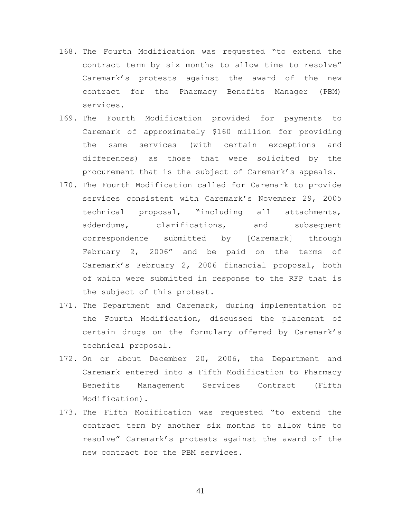- 168. The Fourth Modification was requested "to extend the contract term by six months to allow time to resolve" Caremark's protests against the award of the new contract for the Pharmacy Benefits Manager (PBM) services.
- 169. The Fourth Modification provided for payments to Caremark of approximately \$160 million for providing the same services (with certain exceptions and differences) as those that were solicited by the procurement that is the subject of Caremark's appeals.
- 170. The Fourth Modification called for Caremark to provide services consistent with Caremark's November 29, 2005 technical proposal, "including all attachments, addendums, clarifications, and subsequent correspondence submitted by [Caremark] through February 2, 2006" and be paid on the terms of Caremark's February 2, 2006 financial proposal, both of which were submitted in response to the RFP that is the subject of this protest.
- 171. The Department and Caremark, during implementation of the Fourth Modification, discussed the placement of certain drugs on the formulary offered by Caremark's technical proposal.
- 172. On or about December 20, 2006, the Department and Caremark entered into a Fifth Modification to Pharmacy Benefits Management Services Contract (Fifth Modification).
- 173. The Fifth Modification was requested "to extend the contract term by another six months to allow time to resolve" Caremark's protests against the award of the new contract for the PBM services.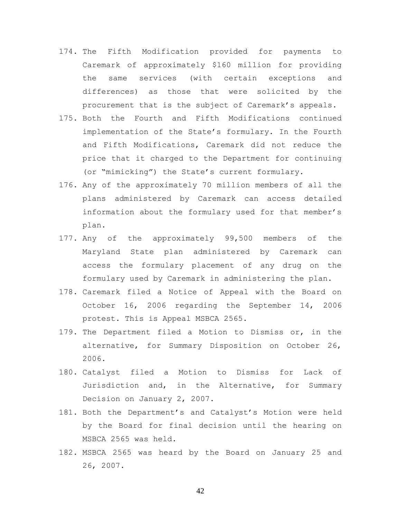- 174. The Fifth Modification provided for payments to Caremark of approximately \$160 million for providing the same services (with certain exceptions and differences) as those that were solicited by the procurement that is the subject of Caremark's appeals.
- 175. Both the Fourth and Fifth Modifications continued implementation of the State's formulary. In the Fourth and Fifth Modifications, Caremark did not reduce the price that it charged to the Department for continuing (or "mimicking") the State's current formulary.
- 176. Any of the approximately 70 million members of all the plans administered by Caremark can access detailed information about the formulary used for that member's plan.
- 177. Any of the approximately 99,500 members of the Maryland State plan administered by Caremark can access the formulary placement of any drug on the formulary used by Caremark in administering the plan.
- 178. Caremark filed a Notice of Appeal with the Board on October 16, 2006 regarding the September 14, 2006 protest. This is Appeal MSBCA 2565.
- 179. The Department filed a Motion to Dismiss or, in the alternative, for Summary Disposition on October 26, 2006.
- 180. Catalyst filed a Motion to Dismiss for Lack of Jurisdiction and, in the Alternative, for Summary Decision on January 2, 2007.
- 181. Both the Department's and Catalyst's Motion were held by the Board for final decision until the hearing on MSBCA 2565 was held.
- 182. MSBCA 2565 was heard by the Board on January 25 and 26, 2007.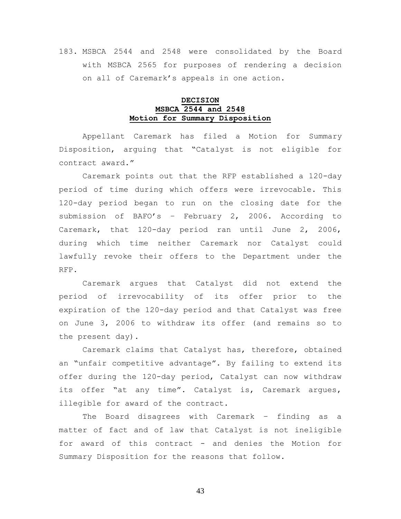# 183. MSBCA 2544 and 2548 were consolidated by the Board with MSBCA 2565 for purposes of rendering a decision on all of Caremark's appeals in one action.

## **DECISION MSBCA 2544 and 2548 Motion for Summary Disposition**

Appellant Caremark has filed a Motion for Summary Disposition, arguing that "Catalyst is not eligible for contract award."

Caremark points out that the RFP established a 120-day period of time during which offers were irrevocable. This 120-day period began to run on the closing date for the submission of BAFO's – February 2, 2006. According to Caremark, that 120-day period ran until June 2, 2006, during which time neither Caremark nor Catalyst could lawfully revoke their offers to the Department under the RFP.

Caremark argues that Catalyst did not extend the period of irrevocability of its offer prior to the expiration of the 120-day period and that Catalyst was free on June 3, 2006 to withdraw its offer (and remains so to the present day).

Caremark claims that Catalyst has, therefore, obtained an "unfair competitive advantage". By failing to extend its offer during the 120-day period, Catalyst can now withdraw its offer "at any time". Catalyst is, Caremark argues, illegible for award of the contract.

The Board disagrees with Caremark – finding as a matter of fact and of law that Catalyst is not ineligible for award of this contract - and denies the Motion for Summary Disposition for the reasons that follow.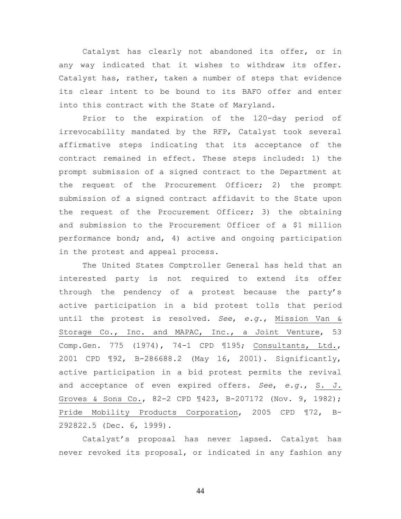Catalyst has clearly not abandoned its offer, or in any way indicated that it wishes to withdraw its offer. Catalyst has, rather, taken a number of steps that evidence its clear intent to be bound to its BAFO offer and enter into this contract with the State of Maryland.

Prior to the expiration of the 120-day period of irrevocability mandated by the RFP, Catalyst took several affirmative steps indicating that its acceptance of the contract remained in effect. These steps included: 1) the prompt submission of a signed contract to the Department at the request of the Procurement Officer; 2) the prompt submission of a signed contract affidavit to the State upon the request of the Procurement Officer; 3) the obtaining and submission to the Procurement Officer of a \$1 million performance bond; and, 4) active and ongoing participation in the protest and appeal process.

The United States Comptroller General has held that an interested party is not required to extend its offer through the pendency of a protest because the party's active participation in a bid protest tolls that period until the protest is resolved. *See*, *e.g.*, Mission Van & Storage Co., Inc. and MAPAC, Inc., a Joint Venture, 53 Comp.Gen. 775 (1974), 74-1 CPD ¶195; Consultants, Ltd., 2001 CPD ¶92, B-286688.2 (May 16, 2001). Significantly, active participation in a bid protest permits the revival and acceptance of even expired offers. *See*, *e.g.*, S. J. Groves & Sons Co., 82-2 CPD ¶423, B-207172 (Nov. 9, 1982); Pride Mobility Products Corporation, 2005 CPD ¶72, B-292822.5 (Dec. 6, 1999).

Catalyst's proposal has never lapsed. Catalyst has never revoked its proposal, or indicated in any fashion any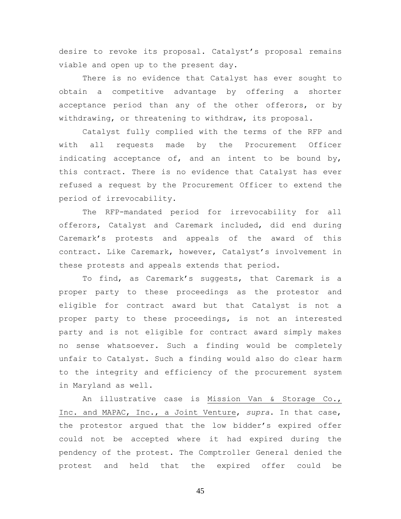desire to revoke its proposal. Catalyst's proposal remains viable and open up to the present day.

There is no evidence that Catalyst has ever sought to obtain a competitive advantage by offering a shorter acceptance period than any of the other offerors, or by withdrawing, or threatening to withdraw, its proposal.

Catalyst fully complied with the terms of the RFP and with all requests made by the Procurement Officer indicating acceptance of, and an intent to be bound by, this contract. There is no evidence that Catalyst has ever refused a request by the Procurement Officer to extend the period of irrevocability.

The RFP-mandated period for irrevocability for all offerors, Catalyst and Caremark included, did end during Caremark's protests and appeals of the award of this contract. Like Caremark, however, Catalyst's involvement in these protests and appeals extends that period.

To find, as Caremark's suggests, that Caremark is a proper party to these proceedings as the protestor and eligible for contract award but that Catalyst is not a proper party to these proceedings, is not an interested party and is not eligible for contract award simply makes no sense whatsoever. Such a finding would be completely unfair to Catalyst. Such a finding would also do clear harm to the integrity and efficiency of the procurement system in Maryland as well.

An illustrative case is Mission Van & Storage Co., Inc. and MAPAC, Inc., a Joint Venture, *supra*. In that case, the protestor argued that the low bidder's expired offer could not be accepted where it had expired during the pendency of the protest. The Comptroller General denied the protest and held that the expired offer could be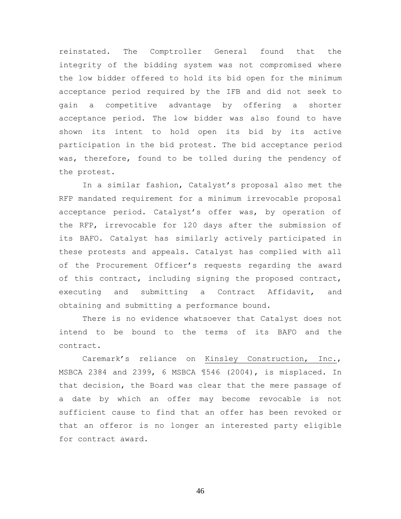reinstated. The Comptroller General found that the integrity of the bidding system was not compromised where the low bidder offered to hold its bid open for the minimum acceptance period required by the IFB and did not seek to gain a competitive advantage by offering a shorter acceptance period. The low bidder was also found to have shown its intent to hold open its bid by its active participation in the bid protest. The bid acceptance period was, therefore, found to be tolled during the pendency of the protest.

In a similar fashion, Catalyst's proposal also met the RFP mandated requirement for a minimum irrevocable proposal acceptance period. Catalyst's offer was, by operation of the RFP, irrevocable for 120 days after the submission of its BAFO. Catalyst has similarly actively participated in these protests and appeals. Catalyst has complied with all of the Procurement Officer's requests regarding the award of this contract, including signing the proposed contract, executing and submitting a Contract Affidavit, and obtaining and submitting a performance bound.

There is no evidence whatsoever that Catalyst does not intend to be bound to the terms of its BAFO and the contract.

Caremark's reliance on Kinsley Construction, Inc., MSBCA 2384 and 2399, 6 MSBCA ¶546 (2004), is misplaced. In that decision, the Board was clear that the mere passage of a date by which an offer may become revocable is not sufficient cause to find that an offer has been revoked or that an offeror is no longer an interested party eligible for contract award.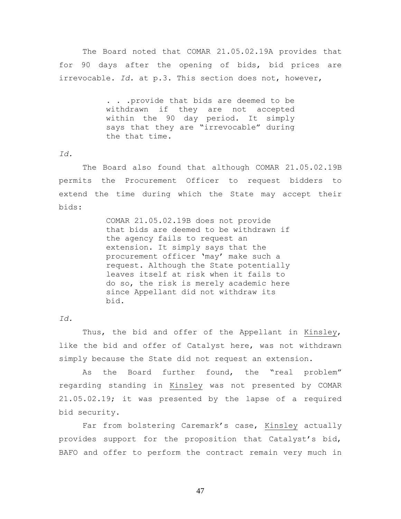The Board noted that COMAR 21.05.02.19A provides that for 90 days after the opening of bids, bid prices are irrevocable. *Id.* at p.3. This section does not, however,

> . . .provide that bids are deemed to be withdrawn if they are not accepted within the 90 day period. It simply says that they are "irrevocable" during the that time.

#### *Id.*

The Board also found that although COMAR 21.05.02.19B permits the Procurement Officer to request bidders to extend the time during which the State may accept their bids:

> COMAR 21.05.02.19B does not provide that bids are deemed to be withdrawn if the agency fails to request an extension. It simply says that the procurement officer 'may' make such a request. Although the State potentially leaves itself at risk when it fails to do so, the risk is merely academic here since Appellant did not withdraw its bid.

### *Id.*

Thus, the bid and offer of the Appellant in Kinsley, like the bid and offer of Catalyst here, was not withdrawn simply because the State did not request an extension.

As the Board further found, the "real problem" regarding standing in Kinsley was not presented by COMAR 21.05.02.19; it was presented by the lapse of a required bid security.

Far from bolstering Caremark's case, Kinsley actually provides support for the proposition that Catalyst's bid, BAFO and offer to perform the contract remain very much in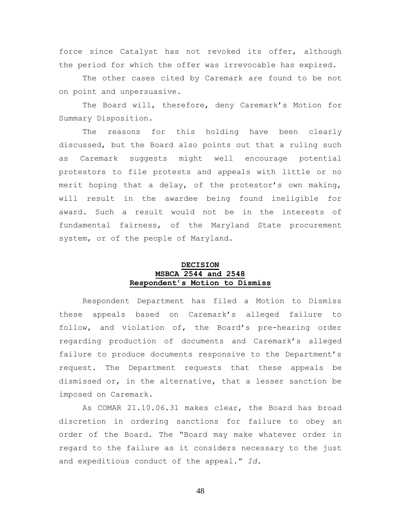force since Catalyst has not revoked its offer, although the period for which the offer was irrevocable has expired.

The other cases cited by Caremark are found to be not on point and unpersuasive.

The Board will, therefore, deny Caremark's Motion for Summary Disposition.

The reasons for this holding have been clearly discussed, but the Board also points out that a ruling such as Caremark suggests might well encourage potential protestors to file protests and appeals with little or no merit hoping that a delay, of the protestor's own making, will result in the awardee being found ineligible for award. Such a result would not be in the interests of fundamental fairness, of the Maryland State procurement system, or of the people of Maryland.

## **DECISION MSBCA 2544 and 2548 Respondent's Motion to Dismiss**

Respondent Department has filed a Motion to Dismiss these appeals based on Caremark's alleged failure to follow, and violation of, the Board's pre-hearing order regarding production of documents and Caremark's alleged failure to produce documents responsive to the Department's request. The Department requests that these appeals be dismissed or, in the alternative, that a lesser sanction be imposed on Caremark.

As COMAR 21.10.06.31 makes clear, the Board has broad discretion in ordering sanctions for failure to obey an order of the Board. The "Board may make whatever order in regard to the failure as it considers necessary to the just and expeditious conduct of the appeal." *Id.*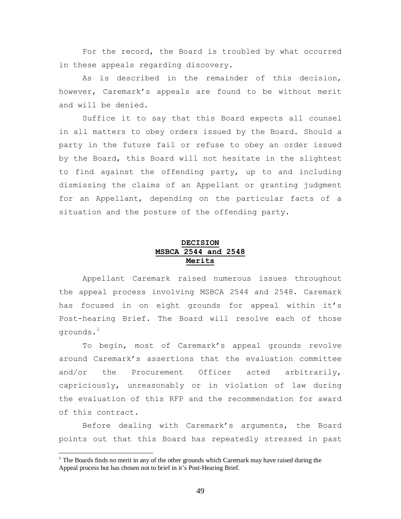For the record, the Board is troubled by what occurred in these appeals regarding discovery.

As is described in the remainder of this decision, however, Caremark's appeals are found to be without merit and will be denied.

Suffice it to say that this Board expects all counsel in all matters to obey orders issued by the Board. Should a party in the future fail or refuse to obey an order issued by the Board, this Board will not hesitate in the slightest to find against the offending party, up to and including dismissing the claims of an Appellant or granting judgment for an Appellant, depending on the particular facts of a situation and the posture of the offending party.

## **DECISION MSBCA 2544 and 2548 Merits**

Appellant Caremark raised numerous issues throughout the appeal process involving MSBCA 2544 and 2548. Caremark has focused in on eight grounds for appeal within it's Post-hearing Brief. The Board will resolve each of those grounds. $^1$ 

To begin, most of Caremark's appeal grounds revolve around Caremark's assertions that the evaluation committee and/or the Procurement Officer acted arbitrarily, capriciously, unreasonably or in violation of law during the evaluation of this RFP and the recommendation for award of this contract.

Before dealing with Caremark's arguments, the Board points out that this Board has repeatedly stressed in past

<sup>&</sup>lt;sup>1</sup> The Boards finds no merit in any of the other grounds which Caremark may have raised during the Appeal process but has chosen not to brief in it's Post-Hearing Brief.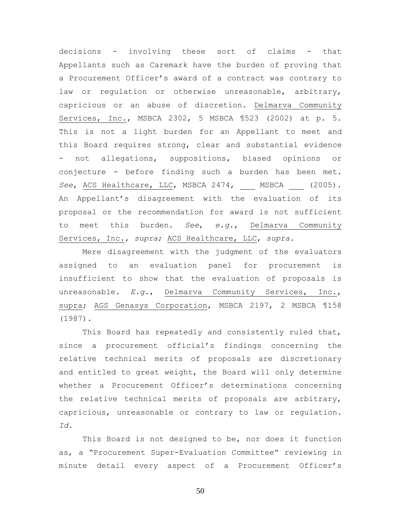decisions - involving these sort of claims - that Appellants such as Caremark have the burden of proving that a Procurement Officer's award of a contract was contrary to law or regulation or otherwise unreasonable, arbitrary, capricious or an abuse of discretion. Delmarva Community Services, Inc., MSBCA 2302, 5 MSBCA ¶523 (2002) at p. 5. This is not a light burden for an Appellant to meet and this Board requires strong, clear and substantial evidence not allegations, suppositions, biased opinions or conjecture - before finding such a burden has been met. See, ACS Healthcare, LLC, MSBCA 2474, MSBCA (2005). An Appellant's disagreement with the evaluation of its proposal or the recommendation for award is not sufficient to meet this burden. *See*, *e.g.*, Delmarva Community Services, Inc., *supra*; ACS Healthcare, LLC, *supra*.

Mere disagreement with the judgment of the evaluators assigned to an evaluation panel for procurement is insufficient to show that the evaluation of proposals is unreasonable. *E.g.*, Delmarva Community Services, Inc., supra; AGS Genasys Corporation, MSBCA 2197, 2 MSBCA ¶158 (1987).

This Board has repeatedly and consistently ruled that, since a procurement official's findings concerning the relative technical merits of proposals are discretionary and entitled to great weight, the Board will only determine whether a Procurement Officer's determinations concerning the relative technical merits of proposals are arbitrary, capricious, unreasonable or contrary to law or regulation. *Id.*

This Board is not designed to be, nor does it function as, a "Procurement Super-Evaluation Committee" reviewing in minute detail every aspect of a Procurement Officer's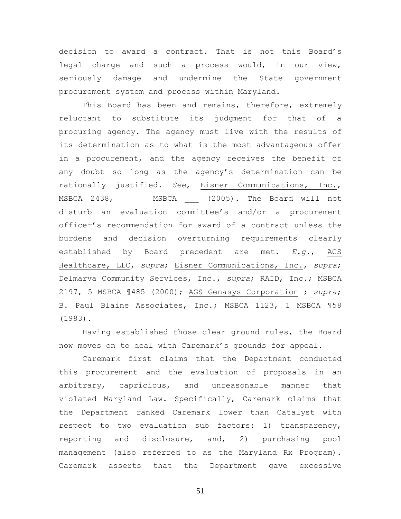decision to award a contract. That is not this Board's legal charge and such a process would, in our view, seriously damage and undermine the State government procurement system and process within Maryland.

This Board has been and remains, therefore, extremely reluctant to substitute its judgment for that of a procuring agency. The agency must live with the results of its determination as to what is the most advantageous offer in a procurement, and the agency receives the benefit of any doubt so long as the agency's determination can be rationally justified. *See*, Eisner Communications, Inc., MSBCA 2438, \_\_\_ MSBCA (2005). The Board will not disturb an evaluation committee's and/or a procurement officer's recommendation for award of a contract unless the burdens and decision overturning requirements clearly established by Board precedent are met. *E.g.*, ACS Healthcare, LLC, *supra*; Eisner Communications, Inc., *supra*; Delmarva Community Services, Inc., *supra*; RAID, Inc.; MSBCA 2197, 5 MSBCA ¶485 (2000); AGS Genasys Corporation ; *supra*; B. Paul Blaine Associates, Inc.; MSBCA 1123, 1 MSBCA ¶58 (1983).

Having established those clear ground rules, the Board now moves on to deal with Caremark's grounds for appeal.

Caremark first claims that the Department conducted this procurement and the evaluation of proposals in an arbitrary, capricious, and unreasonable manner that violated Maryland Law. Specifically, Caremark claims that the Department ranked Caremark lower than Catalyst with respect to two evaluation sub factors: 1) transparency, reporting and disclosure, and, 2) purchasing pool management (also referred to as the Maryland Rx Program). Caremark asserts that the Department gave excessive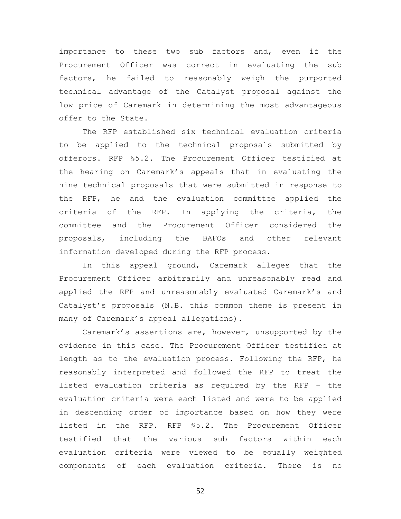importance to these two sub factors and, even if the Procurement Officer was correct in evaluating the sub factors, he failed to reasonably weigh the purported technical advantage of the Catalyst proposal against the low price of Caremark in determining the most advantageous offer to the State.

The RFP established six technical evaluation criteria to be applied to the technical proposals submitted by offerors. RFP §5.2. The Procurement Officer testified at the hearing on Caremark's appeals that in evaluating the nine technical proposals that were submitted in response to the RFP, he and the evaluation committee applied the criteria of the RFP. In applying the criteria, the committee and the Procurement Officer considered the proposals, including the BAFOs and other relevant information developed during the RFP process.

In this appeal ground, Caremark alleges that the Procurement Officer arbitrarily and unreasonably read and applied the RFP and unreasonably evaluated Caremark's and Catalyst's proposals (N.B. this common theme is present in many of Caremark's appeal allegations).

Caremark's assertions are, however, unsupported by the evidence in this case. The Procurement Officer testified at length as to the evaluation process. Following the RFP, he reasonably interpreted and followed the RFP to treat the listed evaluation criteria as required by the RFP – the evaluation criteria were each listed and were to be applied in descending order of importance based on how they were listed in the RFP. RFP §5.2. The Procurement Officer testified that the various sub factors within each evaluation criteria were viewed to be equally weighted components of each evaluation criteria. There is no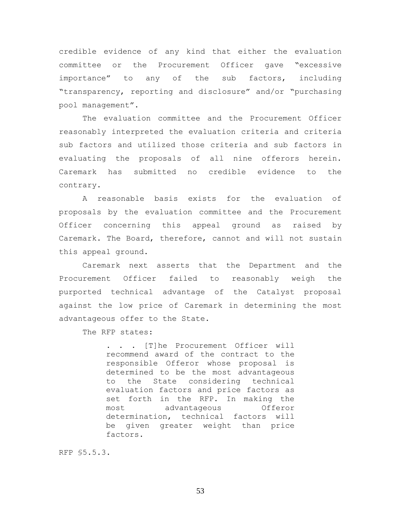credible evidence of any kind that either the evaluation committee or the Procurement Officer gave "excessive importance" to any of the sub factors, including "transparency, reporting and disclosure" and/or "purchasing pool management".

The evaluation committee and the Procurement Officer reasonably interpreted the evaluation criteria and criteria sub factors and utilized those criteria and sub factors in evaluating the proposals of all nine offerors herein. Caremark has submitted no credible evidence to the contrary.

A reasonable basis exists for the evaluation of proposals by the evaluation committee and the Procurement Officer concerning this appeal ground as raised by Caremark. The Board, therefore, cannot and will not sustain this appeal ground.

Caremark next asserts that the Department and the Procurement Officer failed to reasonably weigh the purported technical advantage of the Catalyst proposal against the low price of Caremark in determining the most advantageous offer to the State.

The RFP states:

. . . [T]he Procurement Officer will recommend award of the contract to the responsible Offeror whose proposal is determined to be the most advantageous to the State considering technical evaluation factors and price factors as set forth in the RFP. In making the most advantageous Offeror determination, technical factors will be given greater weight than price factors.

RFP §5.5.3.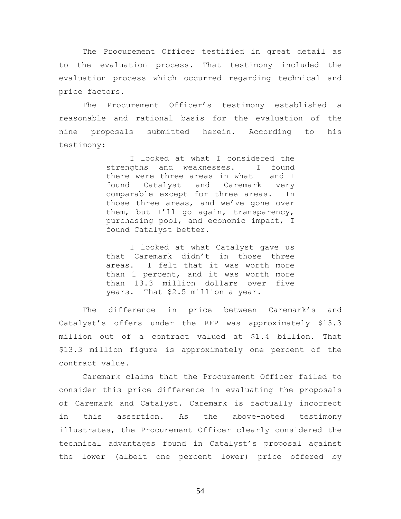The Procurement Officer testified in great detail as to the evaluation process. That testimony included the evaluation process which occurred regarding technical and price factors.

The Procurement Officer's testimony established a reasonable and rational basis for the evaluation of the nine proposals submitted herein. According to his testimony:

> I looked at what I considered the strengths and weaknesses. I found there were three areas in what – and I found Catalyst and Caremark very comparable except for three areas. In those three areas, and we've gone over them, but I'll go again, transparency, purchasing pool, and economic impact, I found Catalyst better.

> I looked at what Catalyst gave us that Caremark didn't in those three areas. I felt that it was worth more than 1 percent, and it was worth more than 13.3 million dollars over five years. That \$2.5 million a year.

The difference in price between Caremark's and Catalyst's offers under the RFP was approximately \$13.3 million out of a contract valued at \$1.4 billion. That \$13.3 million figure is approximately one percent of the contract value.

Caremark claims that the Procurement Officer failed to consider this price difference in evaluating the proposals of Caremark and Catalyst. Caremark is factually incorrect in this assertion. As the above-noted testimony illustrates, the Procurement Officer clearly considered the technical advantages found in Catalyst's proposal against the lower (albeit one percent lower) price offered by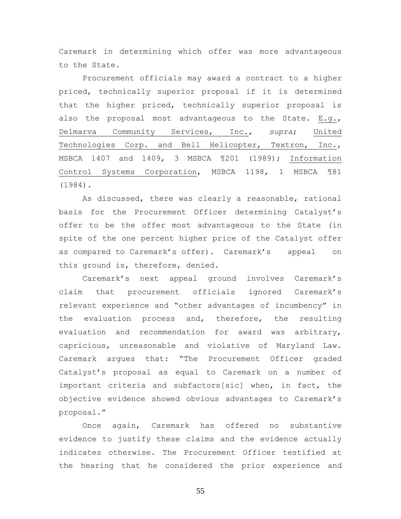Caremark in determining which offer was more advantageous to the State.

Procurement officials may award a contract to a higher priced, technically superior proposal if it is determined that the higher priced, technically superior proposal is also the proposal most advantageous to the State. E.g., Delmarva Community Services, Inc., *supra*; United Technologies Corp. and Bell Helicopter, Textron, Inc., MSBCA 1407 and 1409, 3 MSBCA ¶201 (1989); Information Control Systems Corporation, MSBCA 1198, 1 MSBCA ¶81 (1984).

As discussed, there was clearly a reasonable, rational basis for the Procurement Officer determining Catalyst's offer to be the offer most advantageous to the State (in spite of the one percent higher price of the Catalyst offer as compared to Caremark's offer). Caremark's appeal on this ground is, therefore, denied.

Caremark's next appeal ground involves Caremark's claim that procurement officials ignored Caremark's relevant experience and "other advantages of incumbency" in the evaluation process and, therefore, the resulting evaluation and recommendation for award was arbitrary, capricious, unreasonable and violative of Maryland Law. Caremark argues that: "The Procurement Officer graded Catalyst's proposal as equal to Caremark on a number of important criteria and subfactors[sic] when, in fact, the objective evidence showed obvious advantages to Caremark's proposal."

Once again, Caremark has offered no substantive evidence to justify these claims and the evidence actually indicates otherwise. The Procurement Officer testified at the hearing that he considered the prior experience and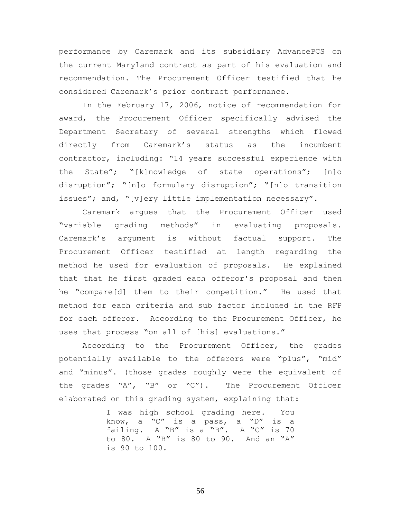performance by Caremark and its subsidiary AdvancePCS on the current Maryland contract as part of his evaluation and recommendation. The Procurement Officer testified that he considered Caremark's prior contract performance.

In the February 17, 2006, notice of recommendation for award, the Procurement Officer specifically advised the Department Secretary of several strengths which flowed directly from Caremark's status as the incumbent contractor, including: "14 years successful experience with the State"; "[k]nowledge of state operations"; [n]o disruption"; "[n]o formulary disruption"; "[n]o transition issues"; and, "[v]ery little implementation necessary".

Caremark argues that the Procurement Officer used "variable grading methods" in evaluating proposals. Caremark's argument is without factual support. The Procurement Officer testified at length regarding the method he used for evaluation of proposals. He explained that that he first graded each offeror's proposal and then he "compare[d] them to their competition." He used that method for each criteria and sub factor included in the RFP for each offeror. According to the Procurement Officer, he uses that process "on all of [his] evaluations."

According to the Procurement Officer, the grades potentially available to the offerors were "plus", "mid" and "minus". (those grades roughly were the equivalent of the grades "A", "B" or "C"). The Procurement Officer elaborated on this grading system, explaining that:

> I was high school grading here. You know, a "C" is a pass, a "D" is a failing. A "B" is a "B". A "C" is 70 to 80. A "B" is 80 to 90. And an "A" is 90 to 100.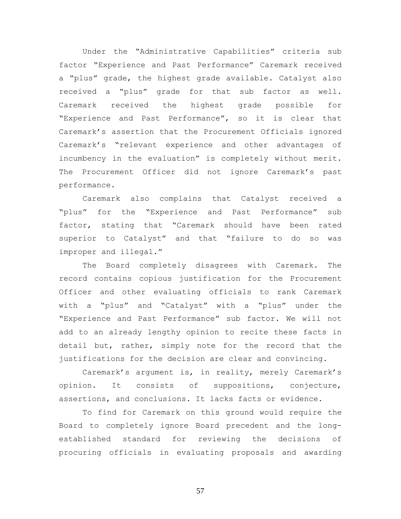Under the "Administrative Capabilities" criteria sub factor "Experience and Past Performance" Caremark received a "plus" grade, the highest grade available. Catalyst also received a "plus" grade for that sub factor as well. Caremark received the highest grade possible for "Experience and Past Performance", so it is clear that Caremark's assertion that the Procurement Officials ignored Caremark's "relevant experience and other advantages of incumbency in the evaluation" is completely without merit. The Procurement Officer did not ignore Caremark's past performance.

Caremark also complains that Catalyst received a "plus" for the "Experience and Past Performance" sub factor, stating that "Caremark should have been rated superior to Catalyst" and that "failure to do so was improper and illegal."

The Board completely disagrees with Caremark. The record contains copious justification for the Procurement Officer and other evaluating officials to rank Caremark with a "plus" and "Catalyst" with a "plus" under the "Experience and Past Performance" sub factor. We will not add to an already lengthy opinion to recite these facts in detail but, rather, simply note for the record that the justifications for the decision are clear and convincing.

Caremark's argument is, in reality, merely Caremark's opinion. It consists of suppositions, conjecture, assertions, and conclusions. It lacks facts or evidence.

To find for Caremark on this ground would require the Board to completely ignore Board precedent and the longestablished standard for reviewing the decisions of procuring officials in evaluating proposals and awarding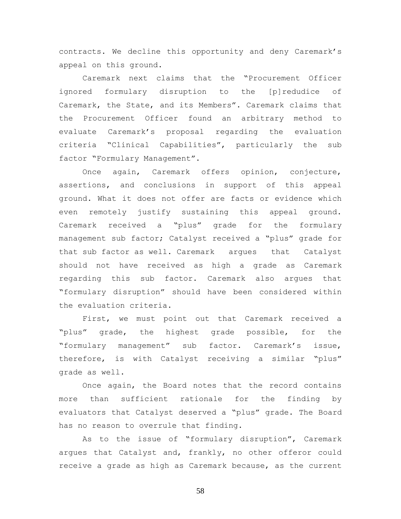contracts. We decline this opportunity and deny Caremark's appeal on this ground.

Caremark next claims that the "Procurement Officer ignored formulary disruption to the [p]redudice of Caremark, the State, and its Members". Caremark claims that the Procurement Officer found an arbitrary method to evaluate Caremark's proposal regarding the evaluation criteria "Clinical Capabilities", particularly the sub factor "Formulary Management".

Once again, Caremark offers opinion, conjecture, assertions, and conclusions in support of this appeal ground. What it does not offer are facts or evidence which even remotely justify sustaining this appeal ground. Caremark received a "plus" grade for the formulary management sub factor; Catalyst received a "plus" grade for that sub factor as well. Caremark argues that Catalyst should not have received as high a grade as Caremark regarding this sub factor. Caremark also argues that "formulary disruption" should have been considered within the evaluation criteria.

First, we must point out that Caremark received a "plus" grade, the highest grade possible, for the "formulary management" sub factor. Caremark's issue, therefore, is with Catalyst receiving a similar "plus" grade as well.

Once again, the Board notes that the record contains more than sufficient rationale for the finding by evaluators that Catalyst deserved a "plus" grade. The Board has no reason to overrule that finding.

As to the issue of "formulary disruption", Caremark argues that Catalyst and, frankly, no other offeror could receive a grade as high as Caremark because, as the current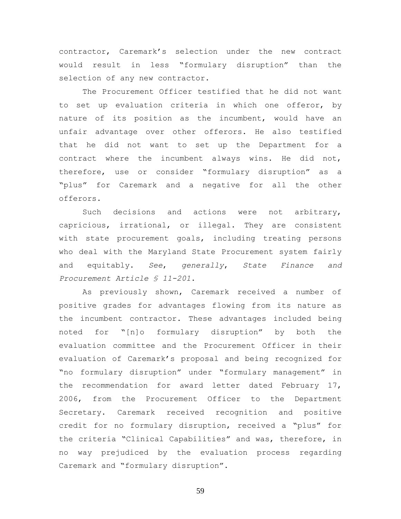contractor, Caremark's selection under the new contract would result in less "formulary disruption" than the selection of any new contractor.

The Procurement Officer testified that he did not want to set up evaluation criteria in which one offeror, by nature of its position as the incumbent, would have an unfair advantage over other offerors. He also testified that he did not want to set up the Department for a contract where the incumbent always wins. He did not, therefore, use or consider "formulary disruption" as a "plus" for Caremark and a negative for all the other offerors.

Such decisions and actions were not arbitrary, capricious, irrational, or illegal. They are consistent with state procurement goals, including treating persons who deal with the Maryland State Procurement system fairly and equitably. *See*, *generally*, *State Finance and Procurement Article § 11-201*.

As previously shown, Caremark received a number of positive grades for advantages flowing from its nature as the incumbent contractor. These advantages included being noted for "[n]o formulary disruption" by both the evaluation committee and the Procurement Officer in their evaluation of Caremark's proposal and being recognized for "no formulary disruption" under "formulary management" in the recommendation for award letter dated February 17, 2006, from the Procurement Officer to the Department Secretary. Caremark received recognition and positive credit for no formulary disruption, received a "plus" for the criteria "Clinical Capabilities" and was, therefore, in no way prejudiced by the evaluation process regarding Caremark and "formulary disruption".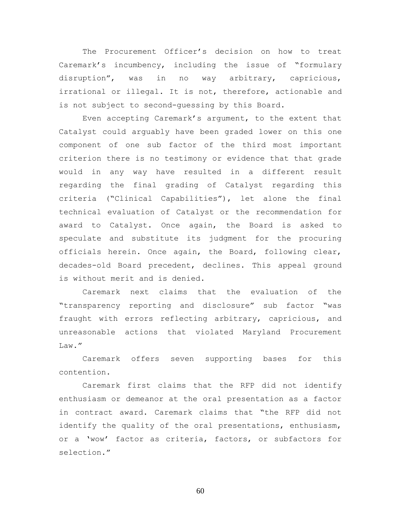The Procurement Officer's decision on how to treat Caremark's incumbency, including the issue of "formulary disruption", was in no way arbitrary, capricious, irrational or illegal. It is not, therefore, actionable and is not subject to second-guessing by this Board.

Even accepting Caremark's argument, to the extent that Catalyst could arguably have been graded lower on this one component of one sub factor of the third most important criterion there is no testimony or evidence that that grade would in any way have resulted in a different result regarding the final grading of Catalyst regarding this criteria ("Clinical Capabilities"), let alone the final technical evaluation of Catalyst or the recommendation for award to Catalyst. Once again, the Board is asked to speculate and substitute its judgment for the procuring officials herein. Once again, the Board, following clear, decades-old Board precedent, declines. This appeal ground is without merit and is denied.

Caremark next claims that the evaluation of the "transparency reporting and disclosure" sub factor "was fraught with errors reflecting arbitrary, capricious, and unreasonable actions that violated Maryland Procurement Law."

Caremark offers seven supporting bases for this contention.

Caremark first claims that the RFP did not identify enthusiasm or demeanor at the oral presentation as a factor in contract award. Caremark claims that "the RFP did not identify the quality of the oral presentations, enthusiasm, or a 'wow' factor as criteria, factors, or subfactors for selection."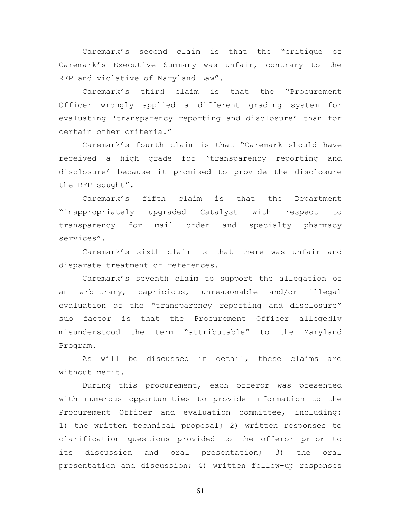Caremark's second claim is that the "critique of Caremark's Executive Summary was unfair, contrary to the RFP and violative of Maryland Law".

Caremark's third claim is that the "Procurement Officer wrongly applied a different grading system for evaluating 'transparency reporting and disclosure' than for certain other criteria."

Caremark's fourth claim is that "Caremark should have received a high grade for 'transparency reporting and disclosure' because it promised to provide the disclosure the RFP sought".

Caremark's fifth claim is that the Department "inappropriately upgraded Catalyst with respect to transparency for mail order and specialty pharmacy services".

Caremark's sixth claim is that there was unfair and disparate treatment of references.

Caremark's seventh claim to support the allegation of an arbitrary, capricious, unreasonable and/or illegal evaluation of the "transparency reporting and disclosure" sub factor is that the Procurement Officer allegedly misunderstood the term "attributable" to the Maryland Program.

As will be discussed in detail, these claims are without merit.

During this procurement, each offeror was presented with numerous opportunities to provide information to the Procurement Officer and evaluation committee, including: 1) the written technical proposal; 2) written responses to clarification questions provided to the offeror prior to its discussion and oral presentation; 3) the oral presentation and discussion; 4) written follow-up responses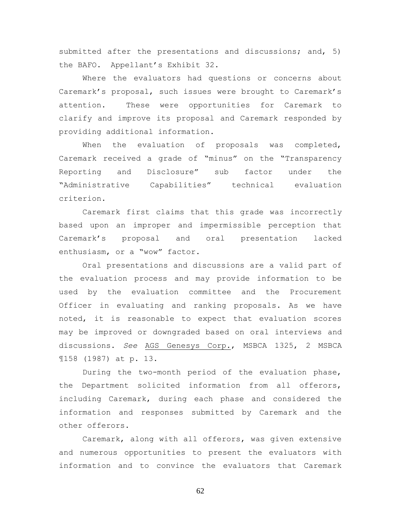submitted after the presentations and discussions; and, 5) the BAFO. Appellant's Exhibit 32.

Where the evaluators had questions or concerns about Caremark's proposal, such issues were brought to Caremark's attention. These were opportunities for Caremark to clarify and improve its proposal and Caremark responded by providing additional information.

When the evaluation of proposals was completed, Caremark received a grade of "minus" on the "Transparency Reporting and Disclosure" sub factor under the "Administrative Capabilities" technical evaluation criterion.

Caremark first claims that this grade was incorrectly based upon an improper and impermissible perception that Caremark's proposal and oral presentation lacked enthusiasm, or a "wow" factor.

Oral presentations and discussions are a valid part of the evaluation process and may provide information to be used by the evaluation committee and the Procurement Officer in evaluating and ranking proposals. As we have noted, it is reasonable to expect that evaluation scores may be improved or downgraded based on oral interviews and discussions. *See* AGS Genesys Corp., MSBCA 1325, 2 MSBCA ¶158 (1987) at p. 13.

During the two-month period of the evaluation phase, the Department solicited information from all offerors, including Caremark, during each phase and considered the information and responses submitted by Caremark and the other offerors.

Caremark, along with all offerors, was given extensive and numerous opportunities to present the evaluators with information and to convince the evaluators that Caremark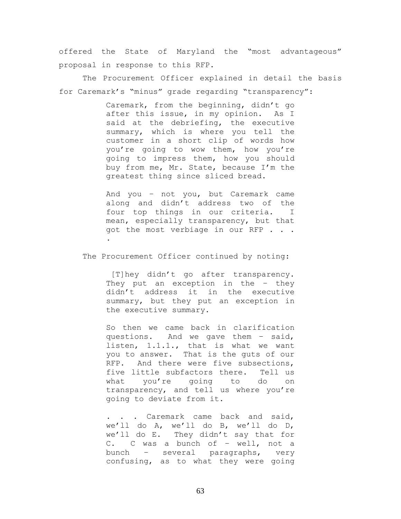offered the State of Maryland the "most advantageous" proposal in response to this RFP.

The Procurement Officer explained in detail the basis for Caremark's "minus" grade regarding "transparency":

> Caremark, from the beginning, didn't go after this issue, in my opinion. As I said at the debriefing, the executive summary, which is where you tell the customer in a short clip of words how you're going to wow them, how you're going to impress them, how you should buy from me, Mr. State, because I'm the greatest thing since sliced bread.

> And you – not you, but Caremark came along and didn't address two of the four top things in our criteria. I mean, especially transparency, but that got the most verbiage in our RFP . . . .

The Procurement Officer continued by noting:

[T]hey didn't go after transparency. They put an exception in the - they didn't address it in the executive summary, but they put an exception in the executive summary.

So then we came back in clarification questions. And we gave them – said, listen, 1.1.1., that is what we want you to answer. That is the guts of our RFP. And there were five subsections, five little subfactors there. Tell us what you're going to do on transparency, and tell us where you're going to deviate from it.

. . . Caremark came back and said, we'll do A, we'll do B, we'll do D, we'll do E. They didn't say that for C. C was a bunch of – well, not a bunch – several paragraphs, very confusing, as to what they were going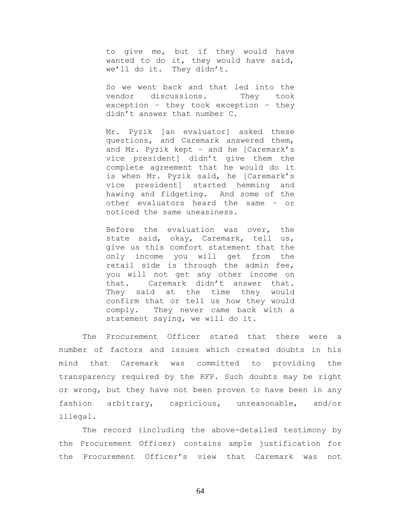to give me, but if they would have wanted to do it, they would have said, we'll do it. They didn't.

So we went back and that led into the vendor discussions. They took exception – they took exception – they didn't answer that number C.

Mr. Pyzik [an evaluator] asked these questions, and Caremark answered them, and Mr. Pyzik kept – and he [Caremark's vice president] didn't give them the complete agreement that he would do it is when Mr. Pyzik said, he [Caremark's vice president] started hemming and hawing and fidgeting. And some of the other evaluators heard the same – or noticed the same uneasiness.

Before the evaluation was over, the state said, okay, Caremark, tell us, give us this comfort statement that the only income you will get from the retail side is through the admin fee, you will not get any other income on that. Caremark didn't answer that. They said at the time they would confirm that or tell us how they would comply. They never came back with a statement saying, we will do it.

The Procurement Officer stated that there were a number of factors and issues which created doubts in his mind that Caremark was committed to providing the transparency required by the RFP. Such doubts may be right or wrong, but they have not been proven to have been in any fashion arbitrary, capricious, unreasonable, and/or illegal.

The record (including the above-detailed testimony by the Procurement Officer) contains ample justification for the Procurement Officer's view that Caremark was not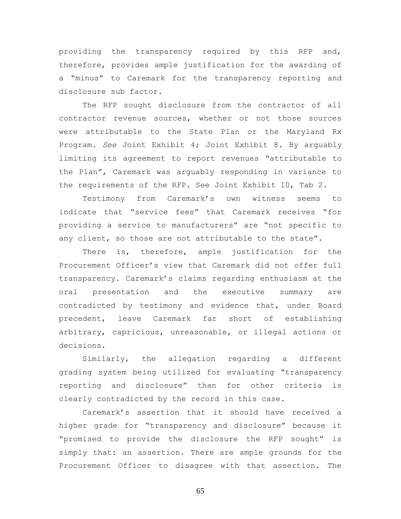providing the transparency required by this RFP and, therefore, provides ample justification for the awarding of a "minus" to Caremark for the transparency reporting and disclosure sub factor.

The RFP sought disclosure from the contractor of all contractor revenue sources, whether or not those sources were attributable to the State Plan or the Maryland Rx Program. *See* Joint Exhibit 4; Joint Exhibit 8. By arguably limiting its agreement to report revenues "attributable to the Plan", Caremark was arguably responding in variance to the requirements of the RFP. See Joint Exhibit 10, Tab 2.

Testimony from Caremark's own witness seems to indicate that "service fees" that Caremark receives "for providing a service to manufacturers" are "not specific to any client, so those are not attributable to the state".

There is, therefore, ample justification for the Procurement Officer's view that Caremark did not offer full transparency. Caremark's claims regarding enthusiasm at the oral presentation and the executive summary are contradicted by testimony and evidence that, under Board precedent, leave Caremark far short of establishing arbitrary, capricious, unreasonable, or illegal actions or decisions.

Similarly, the allegation regarding a different grading system being utilized for evaluating "transparency reporting and disclosure" than for other criteria is clearly contradicted by the record in this case.

Caremark's assertion that it should have received a higher grade for "transparency and disclosure" because it "promised to provide the disclosure the RFP sought" is simply that: an assertion. There are ample grounds for the Procurement Officer to disagree with that assertion. The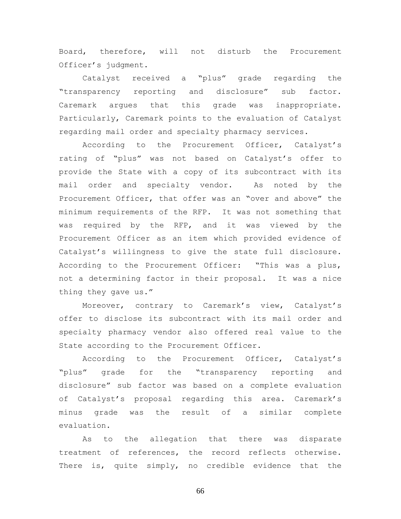Board, therefore, will not disturb the Procurement Officer's judgment.

Catalyst received a "plus" grade regarding the "transparency reporting and disclosure" sub factor. Caremark argues that this grade was inappropriate. Particularly, Caremark points to the evaluation of Catalyst regarding mail order and specialty pharmacy services.

According to the Procurement Officer, Catalyst's rating of "plus" was not based on Catalyst's offer to provide the State with a copy of its subcontract with its mail order and specialty vendor. As noted by the Procurement Officer, that offer was an "over and above" the minimum requirements of the RFP. It was not something that was required by the RFP, and it was viewed by the Procurement Officer as an item which provided evidence of Catalyst's willingness to give the state full disclosure. According to the Procurement Officer: "This was a plus, not a determining factor in their proposal. It was a nice thing they gave us."

Moreover, contrary to Caremark's view, Catalyst's offer to disclose its subcontract with its mail order and specialty pharmacy vendor also offered real value to the State according to the Procurement Officer.

According to the Procurement Officer, Catalyst's "plus" grade for the "transparency reporting and disclosure" sub factor was based on a complete evaluation of Catalyst's proposal regarding this area. Caremark's minus grade was the result of a similar complete evaluation.

As to the allegation that there was disparate treatment of references, the record reflects otherwise. There is, quite simply, no credible evidence that the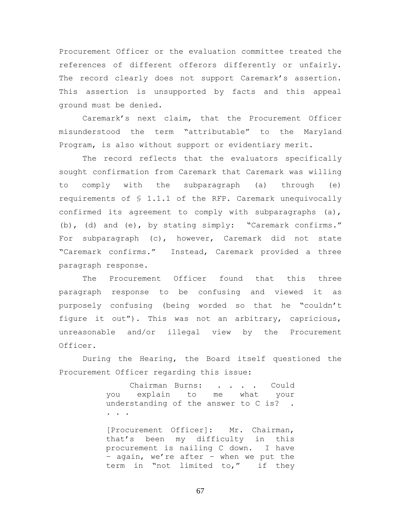Procurement Officer or the evaluation committee treated the references of different offerors differently or unfairly. The record clearly does not support Caremark's assertion. This assertion is unsupported by facts and this appeal ground must be denied.

Caremark's next claim, that the Procurement Officer misunderstood the term "attributable" to the Maryland Program, is also without support or evidentiary merit.

The record reflects that the evaluators specifically sought confirmation from Caremark that Caremark was willing to comply with the subparagraph (a) through (e) requirements of § 1.1.1 of the RFP. Caremark unequivocally confirmed its agreement to comply with subparagraphs  $(a)$ , (b), (d) and (e), by stating simply: "Caremark confirms." For subparagraph (c), however, Caremark did not state "Caremark confirms." Instead, Caremark provided a three paragraph response.

The Procurement Officer found that this three paragraph response to be confusing and viewed it as purposely confusing (being worded so that he "couldn't figure it out"). This was not an arbitrary, capricious, unreasonable and/or illegal view by the Procurement Officer.

During the Hearing, the Board itself questioned the Procurement Officer regarding this issue:

> Chairman Burns: . . . . Could you explain to me what your understanding of the answer to C is? . . . .

> [Procurement Officer]: Mr. Chairman, that's been my difficulty in this procurement is nailing C down. I have – again, we're after – when we put the term in "not limited to," if they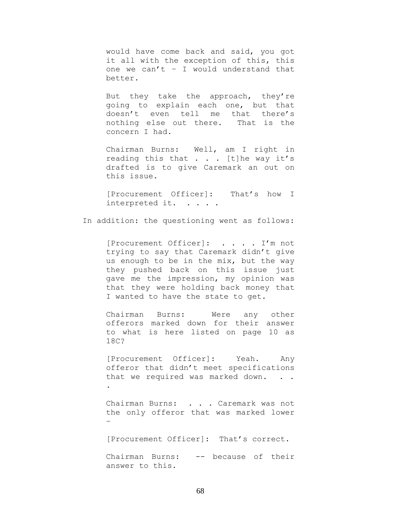would have come back and said, you got it all with the exception of this, this one we can't – I would understand that better.

But they take the approach, they're going to explain each one, but that doesn't even tell me that there's nothing else out there. That is the concern I had.

Chairman Burns: Well, am I right in reading this that . . . [t]he way it's drafted is to give Caremark an out on this issue.

[Procurement Officer]: That's how I interpreted it. . . . .

In addition: the questioning went as follows:

[Procurement Officer]: . . . . I'm not trying to say that Caremark didn't give us enough to be in the mix, but the way they pushed back on this issue just gave me the impression, my opinion was that they were holding back money that I wanted to have the state to get.

Chairman Burns: Were any other offerors marked down for their answer to what is here listed on page 10 as 18C?

[Procurement Officer]: Yeah. Any offeror that didn't meet specifications that we required was marked down. . . .

Chairman Burns: . . . Caremark was not the only offeror that was marked lower –

[Procurement Officer]: That's correct.

Chairman Burns: -- because of their answer to this.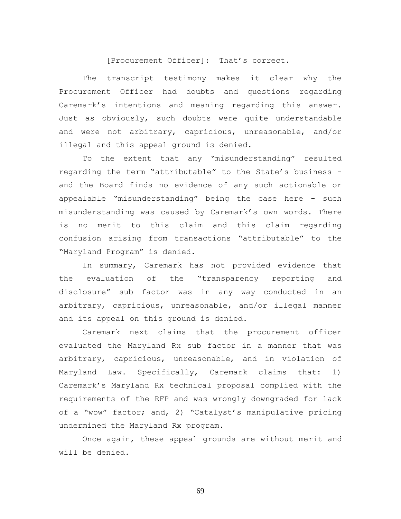[Procurement Officer]: That's correct.

The transcript testimony makes it clear why the Procurement Officer had doubts and questions regarding Caremark's intentions and meaning regarding this answer. Just as obviously, such doubts were quite understandable and were not arbitrary, capricious, unreasonable, and/or illegal and this appeal ground is denied.

To the extent that any "misunderstanding" resulted regarding the term "attributable" to the State's business and the Board finds no evidence of any such actionable or appealable "misunderstanding" being the case here - such misunderstanding was caused by Caremark's own words. There is no merit to this claim and this claim regarding confusion arising from transactions "attributable" to the "Maryland Program" is denied.

In summary, Caremark has not provided evidence that the evaluation of the "transparency reporting and disclosure" sub factor was in any way conducted in an arbitrary, capricious, unreasonable, and/or illegal manner and its appeal on this ground is denied.

Caremark next claims that the procurement officer evaluated the Maryland Rx sub factor in a manner that was arbitrary, capricious, unreasonable, and in violation of Maryland Law. Specifically, Caremark claims that: 1) Caremark's Maryland Rx technical proposal complied with the requirements of the RFP and was wrongly downgraded for lack of a "wow" factor; and, 2) "Catalyst's manipulative pricing undermined the Maryland Rx program.

Once again, these appeal grounds are without merit and will be denied.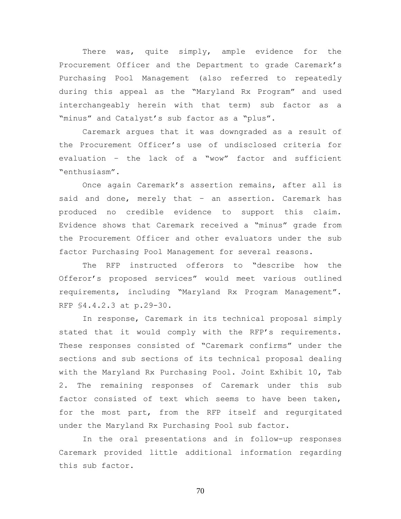There was, quite simply, ample evidence for the Procurement Officer and the Department to grade Caremark's Purchasing Pool Management (also referred to repeatedly during this appeal as the "Maryland Rx Program" and used interchangeably herein with that term) sub factor as a "minus" and Catalyst's sub factor as a "plus".

Caremark argues that it was downgraded as a result of the Procurement Officer's use of undisclosed criteria for evaluation – the lack of a "wow" factor and sufficient "enthusiasm".

Once again Caremark's assertion remains, after all is said and done, merely that – an assertion. Caremark has produced no credible evidence to support this claim. Evidence shows that Caremark received a "minus" grade from the Procurement Officer and other evaluators under the sub factor Purchasing Pool Management for several reasons.

The RFP instructed offerors to "describe how the Offeror's proposed services" would meet various outlined requirements, including "Maryland Rx Program Management". RFP §4.4.2.3 at p.29-30.

In response, Caremark in its technical proposal simply stated that it would comply with the RFP's requirements. These responses consisted of "Caremark confirms" under the sections and sub sections of its technical proposal dealing with the Maryland Rx Purchasing Pool. Joint Exhibit 10, Tab 2. The remaining responses of Caremark under this sub factor consisted of text which seems to have been taken, for the most part, from the RFP itself and regurgitated under the Maryland Rx Purchasing Pool sub factor.

In the oral presentations and in follow-up responses Caremark provided little additional information regarding this sub factor.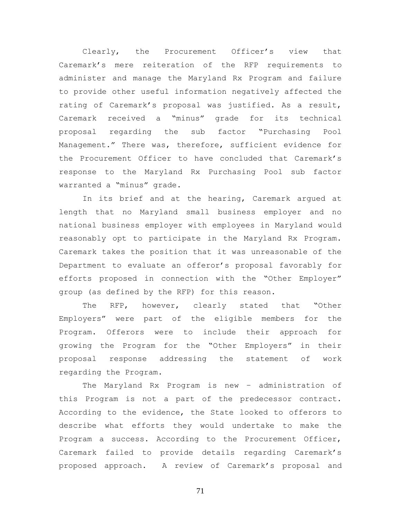Clearly, the Procurement Officer's view that Caremark's mere reiteration of the RFP requirements to administer and manage the Maryland Rx Program and failure to provide other useful information negatively affected the rating of Caremark's proposal was justified. As a result, Caremark received a "minus" grade for its technical proposal regarding the sub factor "Purchasing Pool Management." There was, therefore, sufficient evidence for the Procurement Officer to have concluded that Caremark's response to the Maryland Rx Purchasing Pool sub factor warranted a "minus" grade.

In its brief and at the hearing, Caremark argued at length that no Maryland small business employer and no national business employer with employees in Maryland would reasonably opt to participate in the Maryland Rx Program. Caremark takes the position that it was unreasonable of the Department to evaluate an offeror's proposal favorably for efforts proposed in connection with the "Other Employer" group (as defined by the RFP) for this reason.

The RFP, however, clearly stated that "Other Employers" were part of the eligible members for the Program. Offerors were to include their approach for growing the Program for the "Other Employers" in their proposal response addressing the statement of work regarding the Program.

The Maryland Rx Program is new – administration of this Program is not a part of the predecessor contract. According to the evidence, the State looked to offerors to describe what efforts they would undertake to make the Program a success. According to the Procurement Officer, Caremark failed to provide details regarding Caremark's proposed approach. A review of Caremark's proposal and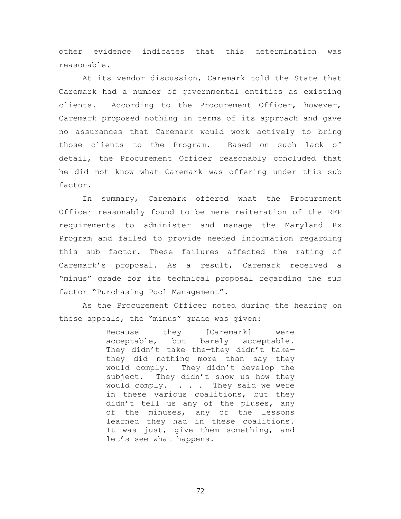other evidence indicates that this determination was reasonable.

At its vendor discussion, Caremark told the State that Caremark had a number of governmental entities as existing clients. According to the Procurement Officer, however, Caremark proposed nothing in terms of its approach and gave no assurances that Caremark would work actively to bring those clients to the Program. Based on such lack of detail, the Procurement Officer reasonably concluded that he did not know what Caremark was offering under this sub factor.

In summary, Caremark offered what the Procurement Officer reasonably found to be mere reiteration of the RFP requirements to administer and manage the Maryland Rx Program and failed to provide needed information regarding this sub factor. These failures affected the rating of Caremark's proposal. As a result, Caremark received a "minus" grade for its technical proposal regarding the sub factor "Purchasing Pool Management".

As the Procurement Officer noted during the hearing on these appeals, the "minus" grade was given:

> Because they [Caremark] were acceptable, but barely acceptable. They didn't take the—they didn't take they did nothing more than say they would comply. They didn't develop the subject. They didn't show us how they would comply. . . . They said we were in these various coalitions, but they didn't tell us any of the pluses, any of the minuses, any of the lessons learned they had in these coalitions. It was just, give them something, and let's see what happens.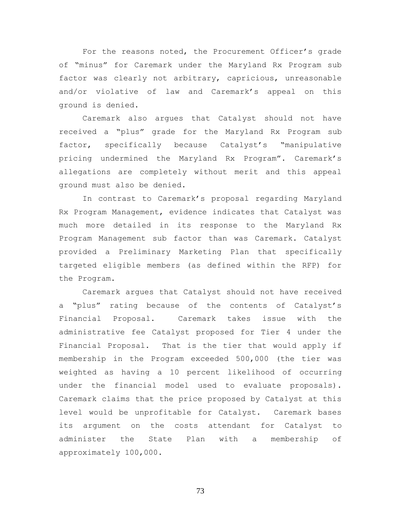For the reasons noted, the Procurement Officer's grade of "minus" for Caremark under the Maryland Rx Program sub factor was clearly not arbitrary, capricious, unreasonable and/or violative of law and Caremark's appeal on this ground is denied.

Caremark also argues that Catalyst should not have received a "plus" grade for the Maryland Rx Program sub factor, specifically because Catalyst's "manipulative pricing undermined the Maryland Rx Program". Caremark's allegations are completely without merit and this appeal ground must also be denied.

In contrast to Caremark's proposal regarding Maryland Rx Program Management, evidence indicates that Catalyst was much more detailed in its response to the Maryland Rx Program Management sub factor than was Caremark. Catalyst provided a Preliminary Marketing Plan that specifically targeted eligible members (as defined within the RFP) for the Program.

Caremark argues that Catalyst should not have received a "plus" rating because of the contents of Catalyst's Financial Proposal. Caremark takes issue with the administrative fee Catalyst proposed for Tier 4 under the Financial Proposal. That is the tier that would apply if membership in the Program exceeded 500,000 (the tier was weighted as having a 10 percent likelihood of occurring under the financial model used to evaluate proposals). Caremark claims that the price proposed by Catalyst at this level would be unprofitable for Catalyst. Caremark bases its argument on the costs attendant for Catalyst to administer the State Plan with a membership of approximately 100,000.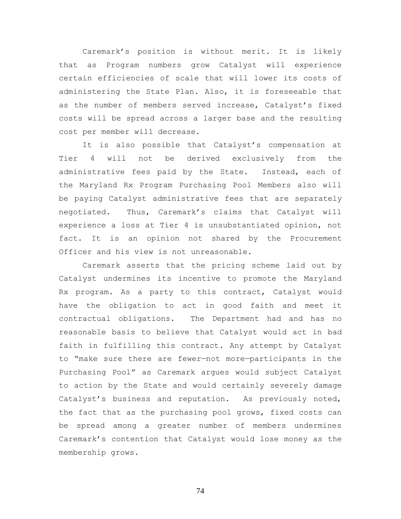Caremark's position is without merit. It is likely that as Program numbers grow Catalyst will experience certain efficiencies of scale that will lower its costs of administering the State Plan. Also, it is foreseeable that as the number of members served increase, Catalyst's fixed costs will be spread across a larger base and the resulting cost per member will decrease.

It is also possible that Catalyst's compensation at Tier 4 will not be derived exclusively from the administrative fees paid by the State. Instead, each of the Maryland Rx Program Purchasing Pool Members also will be paying Catalyst administrative fees that are separately negotiated. Thus, Caremark's claims that Catalyst will experience a loss at Tier 4 is unsubstantiated opinion, not fact. It is an opinion not shared by the Procurement Officer and his view is not unreasonable.

Caremark asserts that the pricing scheme laid out by Catalyst undermines its incentive to promote the Maryland Rx program. As a party to this contract, Catalyst would have the obligation to act in good faith and meet it contractual obligations. The Department had and has no reasonable basis to believe that Catalyst would act in bad faith in fulfilling this contract. Any attempt by Catalyst to "make sure there are fewer—not more—participants in the Purchasing Pool" as Caremark argues would subject Catalyst to action by the State and would certainly severely damage Catalyst's business and reputation. As previously noted, the fact that as the purchasing pool grows, fixed costs can be spread among a greater number of members undermines Caremark's contention that Catalyst would lose money as the membership grows.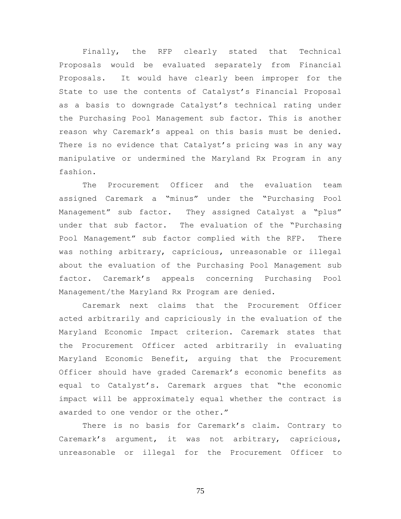Finally, the RFP clearly stated that Technical Proposals would be evaluated separately from Financial Proposals. It would have clearly been improper for the State to use the contents of Catalyst's Financial Proposal as a basis to downgrade Catalyst's technical rating under the Purchasing Pool Management sub factor. This is another reason why Caremark's appeal on this basis must be denied. There is no evidence that Catalyst's pricing was in any way manipulative or undermined the Maryland Rx Program in any fashion.

The Procurement Officer and the evaluation team assigned Caremark a "minus" under the "Purchasing Pool Management" sub factor. They assigned Catalyst a "plus" under that sub factor. The evaluation of the "Purchasing Pool Management" sub factor complied with the RFP. There was nothing arbitrary, capricious, unreasonable or illegal about the evaluation of the Purchasing Pool Management sub factor. Caremark's appeals concerning Purchasing Pool Management/the Maryland Rx Program are denied.

Caremark next claims that the Procurement Officer acted arbitrarily and capriciously in the evaluation of the Maryland Economic Impact criterion. Caremark states that the Procurement Officer acted arbitrarily in evaluating Maryland Economic Benefit, arguing that the Procurement Officer should have graded Caremark's economic benefits as equal to Catalyst's. Caremark argues that "the economic impact will be approximately equal whether the contract is awarded to one vendor or the other."

There is no basis for Caremark's claim. Contrary to Caremark's argument, it was not arbitrary, capricious, unreasonable or illegal for the Procurement Officer to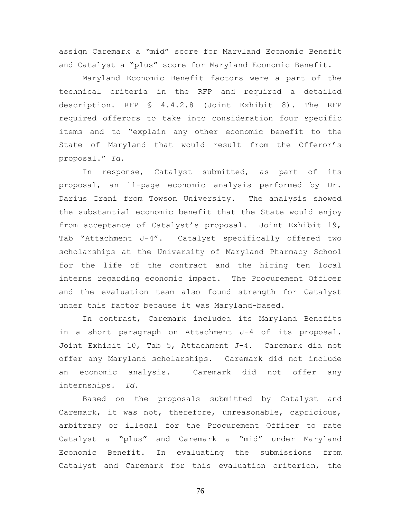assign Caremark a "mid" score for Maryland Economic Benefit and Catalyst a "plus" score for Maryland Economic Benefit.

Maryland Economic Benefit factors were a part of the technical criteria in the RFP and required a detailed description. RFP § 4.4.2.8 (Joint Exhibit 8). The RFP required offerors to take into consideration four specific items and to "explain any other economic benefit to the State of Maryland that would result from the Offeror's proposal." *Id.* 

In response, Catalyst submitted, as part of its proposal, an 11-page economic analysis performed by Dr. Darius Irani from Towson University. The analysis showed the substantial economic benefit that the State would enjoy from acceptance of Catalyst's proposal. Joint Exhibit 19, Tab "Attachment J-4". Catalyst specifically offered two scholarships at the University of Maryland Pharmacy School for the life of the contract and the hiring ten local interns regarding economic impact. The Procurement Officer and the evaluation team also found strength for Catalyst under this factor because it was Maryland-based.

In contrast, Caremark included its Maryland Benefits in a short paragraph on Attachment J-4 of its proposal. Joint Exhibit 10, Tab 5, Attachment J-4. Caremark did not offer any Maryland scholarships. Caremark did not include an economic analysis. Caremark did not offer any internships. *Id.*

Based on the proposals submitted by Catalyst and Caremark, it was not, therefore, unreasonable, capricious, arbitrary or illegal for the Procurement Officer to rate Catalyst a "plus" and Caremark a "mid" under Maryland Economic Benefit. In evaluating the submissions from Catalyst and Caremark for this evaluation criterion, the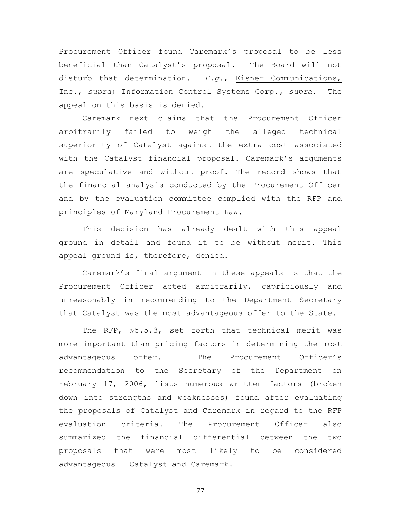Procurement Officer found Caremark's proposal to be less beneficial than Catalyst's proposal. The Board will not disturb that determination. *E.g.*, Eisner Communications, Inc., *supra*; Information Control Systems Corp.*, supra*. The appeal on this basis is denied.

Caremark next claims that the Procurement Officer arbitrarily failed to weigh the alleged technical superiority of Catalyst against the extra cost associated with the Catalyst financial proposal. Caremark's arguments are speculative and without proof. The record shows that the financial analysis conducted by the Procurement Officer and by the evaluation committee complied with the RFP and principles of Maryland Procurement Law.

This decision has already dealt with this appeal ground in detail and found it to be without merit. This appeal ground is, therefore, denied.

Caremark's final argument in these appeals is that the Procurement Officer acted arbitrarily, capriciously and unreasonably in recommending to the Department Secretary that Catalyst was the most advantageous offer to the State.

The RFP, §5.5.3, set forth that technical merit was more important than pricing factors in determining the most advantageous offer. The Procurement Officer's recommendation to the Secretary of the Department on February 17, 2006, lists numerous written factors (broken down into strengths and weaknesses) found after evaluating the proposals of Catalyst and Caremark in regard to the RFP evaluation criteria. The Procurement Officer also summarized the financial differential between the two proposals that were most likely to be considered advantageous – Catalyst and Caremark.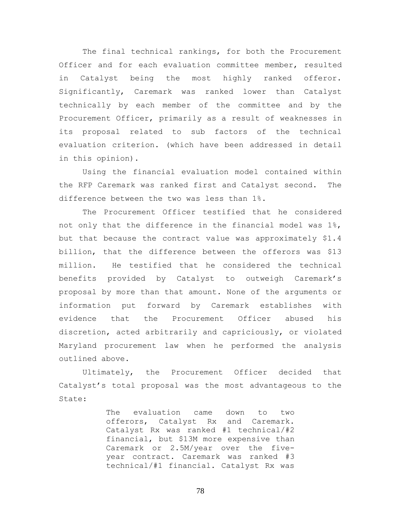The final technical rankings, for both the Procurement Officer and for each evaluation committee member, resulted in Catalyst being the most highly ranked offeror. Significantly, Caremark was ranked lower than Catalyst technically by each member of the committee and by the Procurement Officer, primarily as a result of weaknesses in its proposal related to sub factors of the technical evaluation criterion. (which have been addressed in detail in this opinion).

Using the financial evaluation model contained within the RFP Caremark was ranked first and Catalyst second. The difference between the two was less than 1%.

The Procurement Officer testified that he considered not only that the difference in the financial model was  $1\%$ , but that because the contract value was approximately \$1.4 billion, that the difference between the offerors was \$13 million. He testified that he considered the technical benefits provided by Catalyst to outweigh Caremark's proposal by more than that amount. None of the arguments or information put forward by Caremark establishes with evidence that the Procurement Officer abused his discretion, acted arbitrarily and capriciously, or violated Maryland procurement law when he performed the analysis outlined above.

Ultimately, the Procurement Officer decided that Catalyst's total proposal was the most advantageous to the State:

> The evaluation came down to two offerors, Catalyst Rx and Caremark. Catalyst Rx was ranked #1 technical/#2 financial, but \$13M more expensive than Caremark or 2.5M/year over the fiveyear contract. Caremark was ranked #3 technical/#1 financial. Catalyst Rx was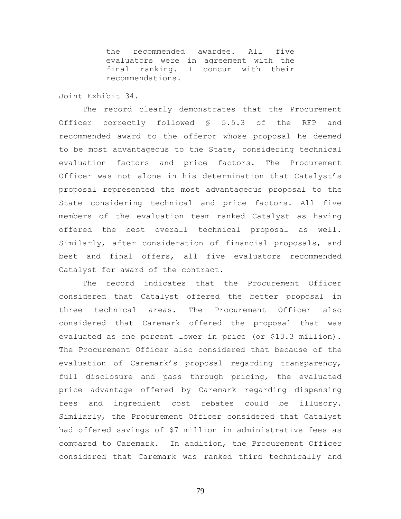the recommended awardee. All five evaluators were in agreement with the final ranking. I concur with their recommendations.

# Joint Exhibit 34.

The record clearly demonstrates that the Procurement Officer correctly followed § 5.5.3 of the RFP and recommended award to the offeror whose proposal he deemed to be most advantageous to the State, considering technical evaluation factors and price factors. The Procurement Officer was not alone in his determination that Catalyst's proposal represented the most advantageous proposal to the State considering technical and price factors. All five members of the evaluation team ranked Catalyst as having offered the best overall technical proposal as well. Similarly, after consideration of financial proposals, and best and final offers, all five evaluators recommended Catalyst for award of the contract.

The record indicates that the Procurement Officer considered that Catalyst offered the better proposal in three technical areas. The Procurement Officer also considered that Caremark offered the proposal that was evaluated as one percent lower in price (or \$13.3 million). The Procurement Officer also considered that because of the evaluation of Caremark's proposal regarding transparency, full disclosure and pass through pricing, the evaluated price advantage offered by Caremark regarding dispensing fees and ingredient cost rebates could be illusory. Similarly, the Procurement Officer considered that Catalyst had offered savings of \$7 million in administrative fees as compared to Caremark. In addition, the Procurement Officer considered that Caremark was ranked third technically and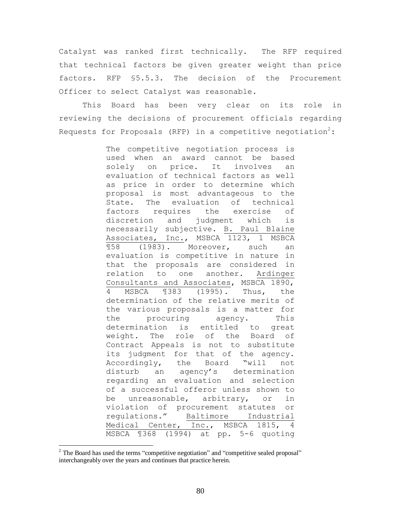Catalyst was ranked first technically. The RFP required that technical factors be given greater weight than price factors. RFP §5.5.3. The decision of the Procurement Officer to select Catalyst was reasonable.

This Board has been very clear on its role in reviewing the decisions of procurement officials regarding Requests for Proposals (RFP) in a competitive negotiation<sup>2</sup>:

> The competitive negotiation process is used when an award cannot be based solely on price. It involves an evaluation of technical factors as well as price in order to determine which proposal is most advantageous to the State. The evaluation of technical factors requires the exercise of discretion and judgment which is necessarily subjective. B. Paul Blaine Associates, Inc., MSBCA 1123, 1 MSBCA ¶58 (1983). Moreover, such an evaluation is competitive in nature in that the proposals are considered in relation to one another. Ardinger Consultants and Associates, MSBCA 1890, 4 MSBCA ¶383 (1995). Thus, the determination of the relative merits of the various proposals is a matter for the procuring agency. This determination is entitled to great weight. The role of the Board of Contract Appeals is not to substitute its judgment for that of the agency. Accordingly, the Board "will not disturb an agency's determination regarding an evaluation and selection of a successful offeror unless shown to be unreasonable, arbitrary, or in violation of procurement statutes or regulations." Baltimore Industrial Medical Center, Inc., MSBCA 1815, 4 MSBCA ¶368 (1994) at pp. 5-6 quoting

<sup>&</sup>lt;sup>2</sup> The Board has used the terms "competitive negotiation" and "competitive sealed proposal" interchangeably over the years and continues that practice herein.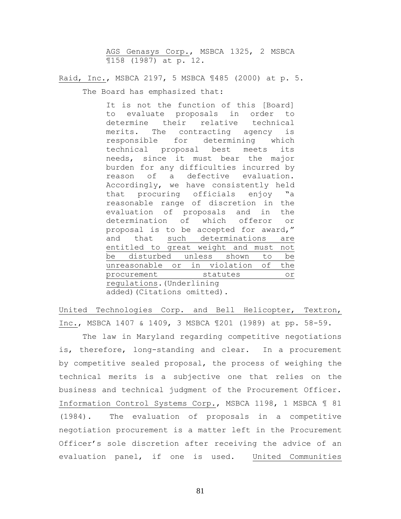AGS Genasys Corp., MSBCA 1325, 2 MSBCA ¶158 (1987) at p. 12.

Raid, Inc., MSBCA 2197, 5 MSBCA ¶485 (2000) at p. 5.

The Board has emphasized that:

It is not the function of this [Board] to evaluate proposals in order to determine their relative technical merits. The contracting agency is responsible for determining which technical proposal best meets its needs, since it must bear the major burden for any difficulties incurred by reason of a defective evaluation. Accordingly, we have consistently held that procuring officials enjoy "a reasonable range of discretion in the evaluation of proposals and in the determination of which offeror or proposal is to be accepted for award," and that such determinations are entitled to great weight and must not be disturbed unless shown to be unreasonable or in violation of the procurement statutes or regulations.(Underlining added)(Citations omitted).

United Technologies Corp. and Bell Helicopter, Textron, Inc., MSBCA 1407 & 1409, 3 MSBCA ¶201 (1989) at pp. 58-59.

The law in Maryland regarding competitive negotiations is, therefore, long-standing and clear. In a procurement by competitive sealed proposal, the process of weighing the technical merits is a subjective one that relies on the business and technical judgment of the Procurement Officer. Information Control Systems Corp*.*, MSBCA 1198, 1 MSBCA ¶ 81 (1984). The evaluation of proposals in a competitive negotiation procurement is a matter left in the Procurement Officer's sole discretion after receiving the advice of an evaluation panel, if one is used. United Communities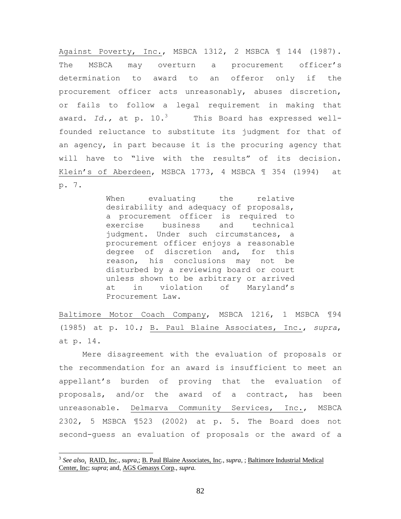Against Poverty, Inc., MSBCA 1312, 2 MSBCA 1 144 (1987). The MSBCA may overturn a procurement officer's determination to award to an offeror only if the procurement officer acts unreasonably, abuses discretion, or fails to follow a legal requirement in making that award. Id., at p. 10.<sup>3</sup> This Board has expressed wellfounded reluctance to substitute its judgment for that of an agency, in part because it is the procuring agency that will have to "live with the results" of its decision. Klein's of Aberdeen, MSBCA 1773, 4 MSBCA ¶ 354 (1994) at p. 7.

> When evaluating the relative desirability and adequacy of proposals, a procurement officer is required to exercise business and technical judgment. Under such circumstances, a procurement officer enjoys a reasonable degree of discretion and, for this reason, his conclusions may not be disturbed by a reviewing board or court unless shown to be arbitrary or arrived at in violation of Maryland's Procurement Law.

Baltimore Motor Coach Company, MSBCA 1216, 1 MSBCA ¶94 (1985) at p. 10.; B. Paul Blaine Associates, Inc., *supra*, at p. 14.

Mere disagreement with the evaluation of proposals or the recommendation for an award is insufficient to meet an appellant's burden of proving that the evaluation of proposals, and/or the award of a contract, has been unreasonable. Delmarva Community Services, Inc., MSBCA 2302, 5 MSBCA ¶523 (2002) at p. 5. The Board does not second-guess an evaluation of proposals or the award of a

<sup>3</sup> *See also*, RAID, Inc*.*, *supra,*; B. Paul Blaine Associates, Inc*.*, *supra*, ; Baltimore Industrial Medical Center, Inc; *supra*; and, AGS Genasys Corp*.*, *supra*.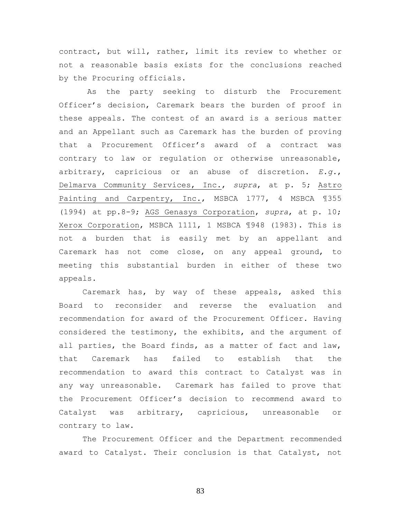contract, but will, rather, limit its review to whether or not a reasonable basis exists for the conclusions reached by the Procuring officials.

 As the party seeking to disturb the Procurement Officer's decision, Caremark bears the burden of proof in these appeals. The contest of an award is a serious matter and an Appellant such as Caremark has the burden of proving that a Procurement Officer's award of a contract was contrary to law or regulation or otherwise unreasonable, arbitrary, capricious or an abuse of discretion. *E.g.*, Delmarva Community Services, Inc., *supra*, at p. 5; Astro Painting and Carpentry, Inc., MSBCA 1777, 4 MSBCA ¶355 (1994) at pp.8-9; AGS Genasys Corporation, *supra*, at p. 10; Xerox Corporation, MSBCA 1111, 1 MSBCA ¶948 (1983). This is not a burden that is easily met by an appellant and Caremark has not come close, on any appeal ground, to meeting this substantial burden in either of these two appeals.

Caremark has, by way of these appeals, asked this Board to reconsider and reverse the evaluation and recommendation for award of the Procurement Officer. Having considered the testimony, the exhibits, and the argument of all parties, the Board finds, as a matter of fact and law, that Caremark has failed to establish that the recommendation to award this contract to Catalyst was in any way unreasonable. Caremark has failed to prove that the Procurement Officer's decision to recommend award to Catalyst was arbitrary, capricious, unreasonable or contrary to law.

The Procurement Officer and the Department recommended award to Catalyst. Their conclusion is that Catalyst, not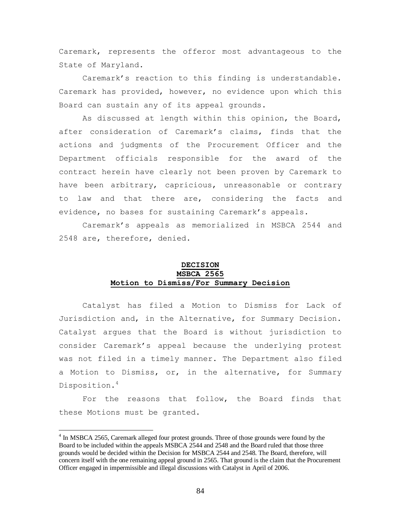Caremark, represents the offeror most advantageous to the State of Maryland.

Caremark's reaction to this finding is understandable. Caremark has provided, however, no evidence upon which this Board can sustain any of its appeal grounds.

As discussed at length within this opinion, the Board, after consideration of Caremark's claims, finds that the actions and judgments of the Procurement Officer and the Department officials responsible for the award of the contract herein have clearly not been proven by Caremark to have been arbitrary, capricious, unreasonable or contrary to law and that there are, considering the facts and evidence, no bases for sustaining Caremark's appeals.

Caremark's appeals as memorialized in MSBCA 2544 and 2548 are, therefore, denied.

# **DECISION MSBCA 2565 Motion to Dismiss/For Summary Decision**

Catalyst has filed a Motion to Dismiss for Lack of Jurisdiction and, in the Alternative, for Summary Decision. Catalyst argues that the Board is without jurisdiction to consider Caremark's appeal because the underlying protest was not filed in a timely manner. The Department also filed a Motion to Dismiss, or, in the alternative, for Summary Disposition.<sup>4</sup>

For the reasons that follow, the Board finds that these Motions must be granted.

<sup>&</sup>lt;sup>4</sup> In MSBCA 2565, Caremark alleged four protest grounds. Three of those grounds were found by the Board to be included within the appeals MSBCA 2544 and 2548 and the Board ruled that those three grounds would be decided within the Decision for MSBCA 2544 and 2548. The Board, therefore, will concern itself with the one remaining appeal ground in 2565. That ground is the claim that the Procurement Officer engaged in impermissible and illegal discussions with Catalyst in April of 2006.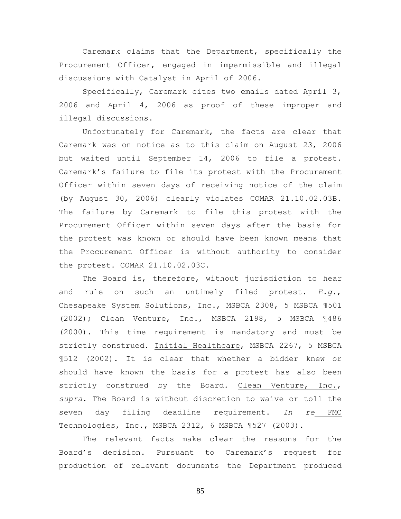Caremark claims that the Department, specifically the Procurement Officer, engaged in impermissible and illegal discussions with Catalyst in April of 2006.

Specifically, Caremark cites two emails dated April 3, 2006 and April 4, 2006 as proof of these improper and illegal discussions.

Unfortunately for Caremark, the facts are clear that Caremark was on notice as to this claim on August 23, 2006 but waited until September 14, 2006 to file a protest. Caremark's failure to file its protest with the Procurement Officer within seven days of receiving notice of the claim (by August 30, 2006) clearly violates COMAR 21.10.02.03B. The failure by Caremark to file this protest with the Procurement Officer within seven days after the basis for the protest was known or should have been known means that the Procurement Officer is without authority to consider the protest. COMAR 21.10.02.03C.

The Board is, therefore, without jurisdiction to hear and rule on such an untimely filed protest. *E.g.*, Chesapeake System Solutions, Inc., MSBCA 2308, 5 MSBCA ¶501 (2002); Clean Venture, Inc., MSBCA 2198, 5 MSBCA ¶486 (2000). This time requirement is mandatory and must be strictly construed. Initial Healthcare, MSBCA 2267, 5 MSBCA ¶512 (2002). It is clear that whether a bidder knew or should have known the basis for a protest has also been strictly construed by the Board. Clean Venture, Inc., *supra*. The Board is without discretion to waive or toll the seven day filing deadline requirement. *In re* FMC Technologies, Inc., MSBCA 2312, 6 MSBCA ¶527 (2003).

The relevant facts make clear the reasons for the Board's decision. Pursuant to Caremark's request for production of relevant documents the Department produced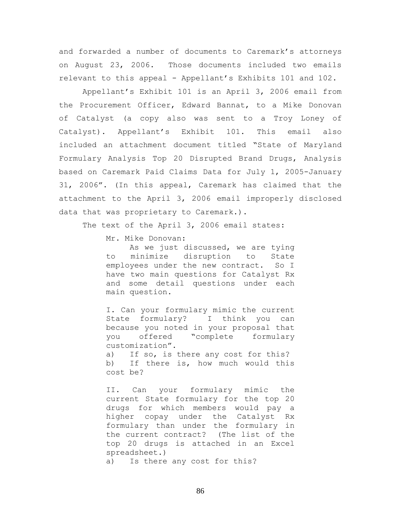and forwarded a number of documents to Caremark's attorneys on August 23, 2006. Those documents included two emails relevant to this appeal - Appellant's Exhibits 101 and 102.

Appellant's Exhibit 101 is an April 3, 2006 email from the Procurement Officer, Edward Bannat, to a Mike Donovan of Catalyst (a copy also was sent to a Troy Loney of Catalyst). Appellant's Exhibit 101. This email also included an attachment document titled "State of Maryland Formulary Analysis Top 20 Disrupted Brand Drugs, Analysis based on Caremark Paid Claims Data for July 1, 2005-January 31, 2006". (In this appeal, Caremark has claimed that the attachment to the April 3, 2006 email improperly disclosed data that was proprietary to Caremark.).

The text of the April 3, 2006 email states:

Mr. Mike Donovan:

As we just discussed, we are tying to minimize disruption to State employees under the new contract. So I have two main questions for Catalyst Rx and some detail questions under each main question.

I. Can your formulary mimic the current State formulary? I think you can because you noted in your proposal that you offered "complete formulary customization".

a) If so, is there any cost for this? b) If there is, how much would this cost be?

II. Can your formulary mimic the current State formulary for the top 20 drugs for which members would pay a higher copay under the Catalyst Rx formulary than under the formulary in the current contract? (The list of the top 20 drugs is attached in an Excel spreadsheet.) a) Is there any cost for this?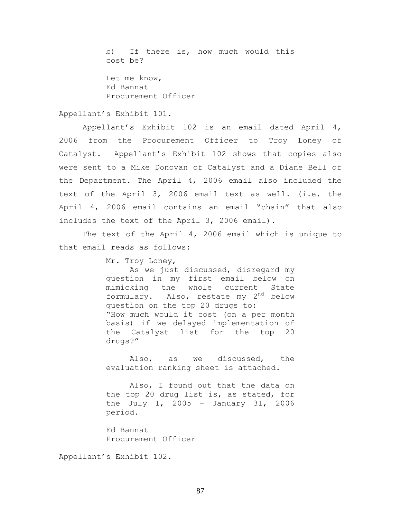b) If there is, how much would this cost be?

Let me know, Ed Bannat Procurement Officer

#### Appellant's Exhibit 101.

Appellant's Exhibit 102 is an email dated April 4, 2006 from the Procurement Officer to Troy Loney of Catalyst. Appellant's Exhibit 102 shows that copies also were sent to a Mike Donovan of Catalyst and a Diane Bell of the Department. The April 4, 2006 email also included the text of the April 3, 2006 email text as well. (i.e. the April 4, 2006 email contains an email "chain" that also includes the text of the April 3, 2006 email).

The text of the April 4, 2006 email which is unique to that email reads as follows:

Mr. Troy Loney,

As we just discussed, disregard my question in my first email below on mimicking the whole current State formulary. Also, restate my 2<sup>nd</sup> below question on the top 20 drugs to: "How much would it cost (on a per month basis) if we delayed implementation of the Catalyst list for the top 20 drugs?"

Also, as we discussed, the evaluation ranking sheet is attached.

Also, I found out that the data on the top 20 drug list is, as stated, for the July 1, 2005 – January 31, 2006 period.

Ed Bannat Procurement Officer

Appellant's Exhibit 102.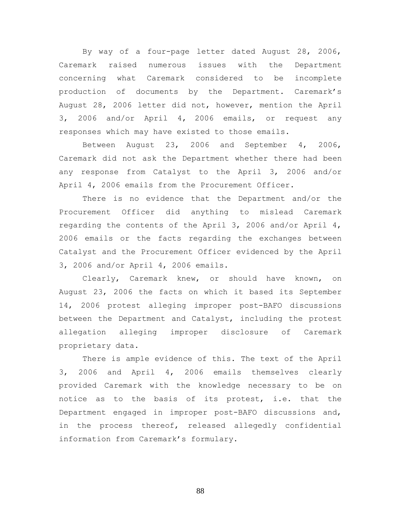By way of a four-page letter dated August 28, 2006, Caremark raised numerous issues with the Department concerning what Caremark considered to be incomplete production of documents by the Department. Caremark's August 28, 2006 letter did not, however, mention the April 3, 2006 and/or April 4, 2006 emails, or request any responses which may have existed to those emails.

Between August 23, 2006 and September 4, 2006, Caremark did not ask the Department whether there had been any response from Catalyst to the April 3, 2006 and/or April 4, 2006 emails from the Procurement Officer.

There is no evidence that the Department and/or the Procurement Officer did anything to mislead Caremark regarding the contents of the April 3, 2006 and/or April 4, 2006 emails or the facts regarding the exchanges between Catalyst and the Procurement Officer evidenced by the April 3, 2006 and/or April 4, 2006 emails.

Clearly, Caremark knew, or should have known, on August 23, 2006 the facts on which it based its September 14, 2006 protest alleging improper post-BAFO discussions between the Department and Catalyst, including the protest allegation alleging improper disclosure of Caremark proprietary data.

There is ample evidence of this. The text of the April 3, 2006 and April 4, 2006 emails themselves clearly provided Caremark with the knowledge necessary to be on notice as to the basis of its protest, i.e. that the Department engaged in improper post-BAFO discussions and, in the process thereof, released allegedly confidential information from Caremark's formulary.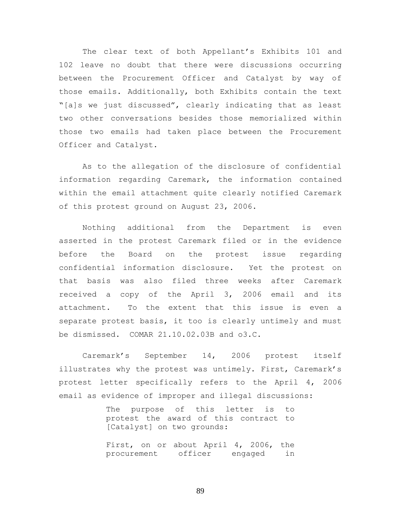The clear text of both Appellant's Exhibits 101 and 102 leave no doubt that there were discussions occurring between the Procurement Officer and Catalyst by way of those emails. Additionally, both Exhibits contain the text "[a]s we just discussed", clearly indicating that as least two other conversations besides those memorialized within those two emails had taken place between the Procurement Officer and Catalyst.

As to the allegation of the disclosure of confidential information regarding Caremark, the information contained within the email attachment quite clearly notified Caremark of this protest ground on August 23, 2006.

Nothing additional from the Department is even asserted in the protest Caremark filed or in the evidence before the Board on the protest issue regarding confidential information disclosure. Yet the protest on that basis was also filed three weeks after Caremark received a copy of the April 3, 2006 email and its attachment. To the extent that this issue is even a separate protest basis, it too is clearly untimely and must be dismissed. COMAR 21.10.02.03B and o3.C.

Caremark's September 14, 2006 protest itself illustrates why the protest was untimely. First, Caremark's protest letter specifically refers to the April 4, 2006 email as evidence of improper and illegal discussions:

> The purpose of this letter is to protest the award of this contract to [Catalyst] on two grounds:

> First, on or about April 4, 2006, the procurement officer engaged in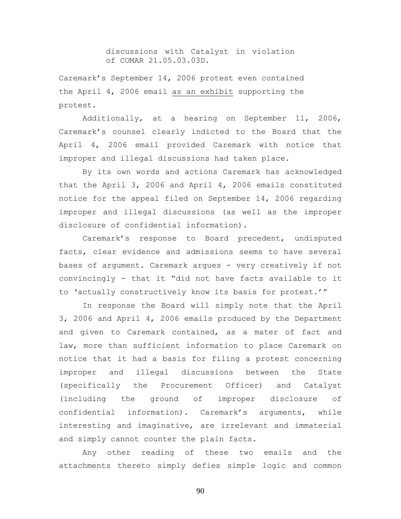discussions with Catalyst in violation of COMAR 21.05.03.03D.

Caremark's September 14, 2006 protest even contained the April 4, 2006 email as an exhibit supporting the protest.

Additionally, at a hearing on September 11, 2006, Caremark's counsel clearly indicted to the Board that the April 4, 2006 email provided Caremark with notice that improper and illegal discussions had taken place.

By its own words and actions Caremark has acknowledged that the April 3, 2006 and April 4, 2006 emails constituted notice for the appeal filed on September 14, 2006 regarding improper and illegal discussions (as well as the improper disclosure of confidential information).

Caremark's response to Board precedent, undisputed facts, clear evidence and admissions seems to have several bases of argument. Caremark argues - very creatively if not convincingly - that it "did not have facts available to it to 'actually constructively know its basis for protest.'"

In response the Board will simply note that the April 3, 2006 and April 4, 2006 emails produced by the Department and given to Caremark contained, as a mater of fact and law, more than sufficient information to place Caremark on notice that it had a basis for filing a protest concerning improper and illegal discussions between the State (specifically the Procurement Officer) and Catalyst (including the ground of improper disclosure of confidential information). Caremark's arguments, while interesting and imaginative, are irrelevant and immaterial and simply cannot counter the plain facts.

Any other reading of these two emails and the attachments thereto simply defies simple logic and common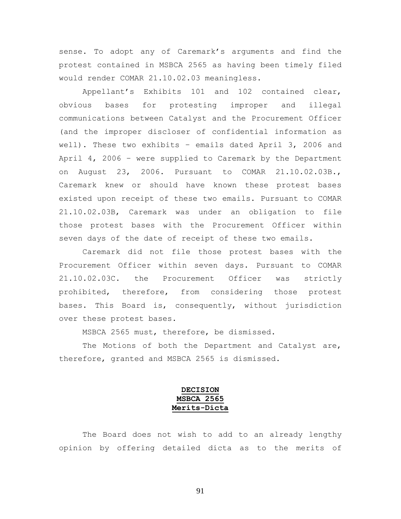sense. To adopt any of Caremark's arguments and find the protest contained in MSBCA 2565 as having been timely filed would render COMAR 21.10.02.03 meaningless.

Appellant's Exhibits 101 and 102 contained clear, obvious bases for protesting improper and illegal communications between Catalyst and the Procurement Officer (and the improper discloser of confidential information as well). These two exhibits – emails dated April 3, 2006 and April 4, 2006 – were supplied to Caremark by the Department on August 23, 2006. Pursuant to COMAR 21.10.02.03B., Caremark knew or should have known these protest bases existed upon receipt of these two emails. Pursuant to COMAR 21.10.02.03B, Caremark was under an obligation to file those protest bases with the Procurement Officer within seven days of the date of receipt of these two emails.

Caremark did not file those protest bases with the Procurement Officer within seven days. Pursuant to COMAR 21.10.02.03C. the Procurement Officer was strictly prohibited, therefore, from considering those protest bases. This Board is, consequently, without jurisdiction over these protest bases.

MSBCA 2565 must, therefore, be dismissed.

The Motions of both the Department and Catalyst are, therefore, granted and MSBCA 2565 is dismissed.

# **DECISION MSBCA 2565 Merits-Dicta**

The Board does not wish to add to an already lengthy opinion by offering detailed dicta as to the merits of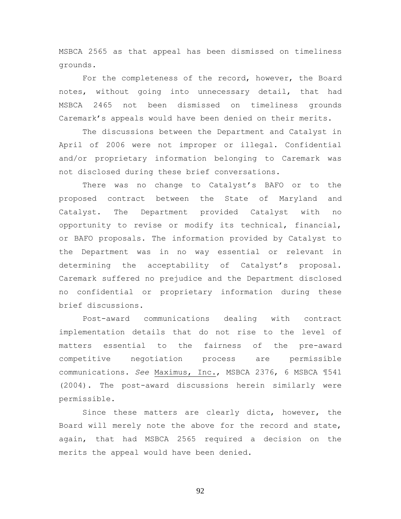MSBCA 2565 as that appeal has been dismissed on timeliness grounds.

For the completeness of the record, however, the Board notes, without going into unnecessary detail, that had MSBCA 2465 not been dismissed on timeliness grounds Caremark's appeals would have been denied on their merits.

The discussions between the Department and Catalyst in April of 2006 were not improper or illegal. Confidential and/or proprietary information belonging to Caremark was not disclosed during these brief conversations.

There was no change to Catalyst's BAFO or to the proposed contract between the State of Maryland and Catalyst. The Department provided Catalyst with no opportunity to revise or modify its technical, financial, or BAFO proposals. The information provided by Catalyst to the Department was in no way essential or relevant in determining the acceptability of Catalyst's proposal. Caremark suffered no prejudice and the Department disclosed no confidential or proprietary information during these brief discussions.

Post-award communications dealing with contract implementation details that do not rise to the level of matters essential to the fairness of the pre-award competitive negotiation process are permissible communications. *See* Maximus, Inc., MSBCA 2376, 6 MSBCA ¶541 (2004). The post-award discussions herein similarly were permissible.

Since these matters are clearly dicta, however, the Board will merely note the above for the record and state, again, that had MSBCA 2565 required a decision on the merits the appeal would have been denied.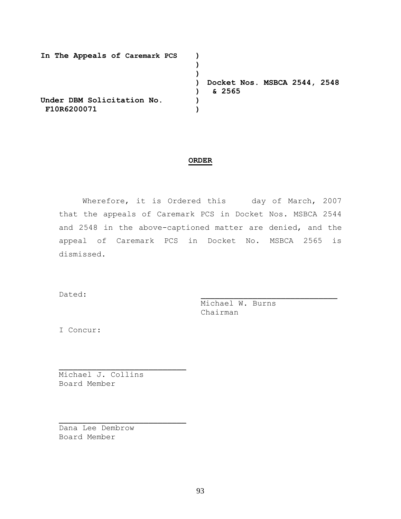| In The Appeals of Caremark PCS |                              |
|--------------------------------|------------------------------|
|                                |                              |
|                                |                              |
|                                | Docket Nos. MSBCA 2544, 2548 |
|                                | & 2565                       |
| Under DBM Solicitation No.     |                              |
| F10R6200071                    |                              |

#### **ORDER**

Wherefore, it is Ordered this day of March, 2007 that the appeals of Caremark PCS in Docket Nos. MSBCA 2544 and 2548 in the above-captioned matter are denied, and the appeal of Caremark PCS in Docket No. MSBCA 2565 is dismissed.

Dated: \_\_\_\_\_\_\_\_\_\_\_\_\_\_\_\_\_\_\_\_\_\_\_\_\_\_\_\_\_

Michael W. Burns Chairman

I Concur:

Michael J. Collins Board Member

 $\mathcal{L}_\text{max}$  and  $\mathcal{L}_\text{max}$  and  $\mathcal{L}_\text{max}$  and  $\mathcal{L}_\text{max}$ 

 $\mathcal{L}_\text{max}$  and  $\mathcal{L}_\text{max}$  and  $\mathcal{L}_\text{max}$  and  $\mathcal{L}_\text{max}$ 

Dana Lee Dembrow Board Member